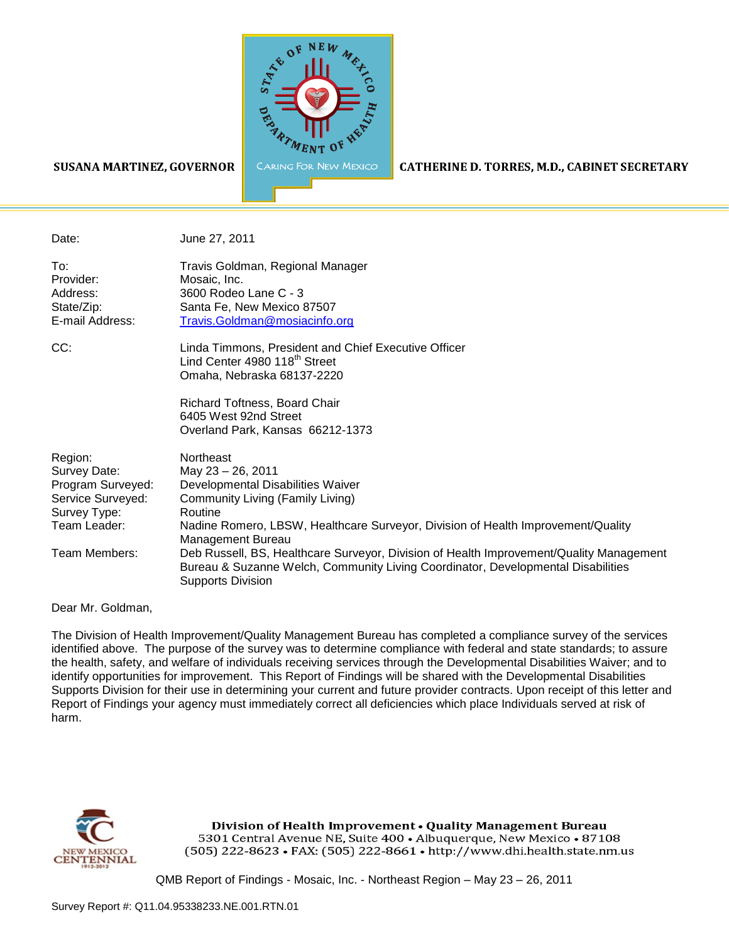

#### SUSANA MARTINEZ, GOVERNOR

CATHERINE D. TORRES, M.D., CABINET SECRETARY

Date: June 27, 2011 To: Travis Goldman, Regional Manager Provider: Mosaic, Inc. Address: 3600 Rodeo Lane C - 3 State/Zip: Santa Fe, New Mexico 87507 E-mail Address: [Travis.Goldman@mosiacinfo.org](mailto:Travis.Goldman@mosiacinfo.org)

CC: Linda Timmons, President and Chief Executive Officer Lind Center 4980 118<sup>th</sup> Street Omaha, Nebraska 68137-2220

> Richard Toftness, Board Chair 6405 West 92nd Street Overland Park, Kansas 66212-1373

| Region:           | Northeast                                                                                                                                                                                               |
|-------------------|---------------------------------------------------------------------------------------------------------------------------------------------------------------------------------------------------------|
| Survey Date:      | May 23 - 26, 2011                                                                                                                                                                                       |
| Program Surveyed: | Developmental Disabilities Waiver                                                                                                                                                                       |
| Service Surveyed: | Community Living (Family Living)                                                                                                                                                                        |
| Survey Type:      | Routine                                                                                                                                                                                                 |
| Team Leader:      | Nadine Romero, LBSW, Healthcare Surveyor, Division of Health Improvement/Quality<br>Management Bureau                                                                                                   |
| Team Members:     | Deb Russell, BS, Healthcare Surveyor, Division of Health Improvement/Quality Management<br>Bureau & Suzanne Welch, Community Living Coordinator, Developmental Disabilities<br><b>Supports Division</b> |

Dear Mr. Goldman,

The Division of Health Improvement/Quality Management Bureau has completed a compliance survey of the services identified above. The purpose of the survey was to determine compliance with federal and state standards; to assure the health, safety, and welfare of individuals receiving services through the Developmental Disabilities Waiver; and to identify opportunities for improvement. This Report of Findings will be shared with the Developmental Disabilities Supports Division for their use in determining your current and future provider contracts. Upon receipt of this letter and Report of Findings your agency must immediately correct all deficiencies which place Individuals served at risk of harm.



Division of Health Improvement . Quality Management Bureau 5301 Central Avenue NE, Suite 400 · Albuquerque, New Mexico · 87108 (505) 222-8623 • FAX: (505) 222-8661 • http://www.dhi.health.state.nm.us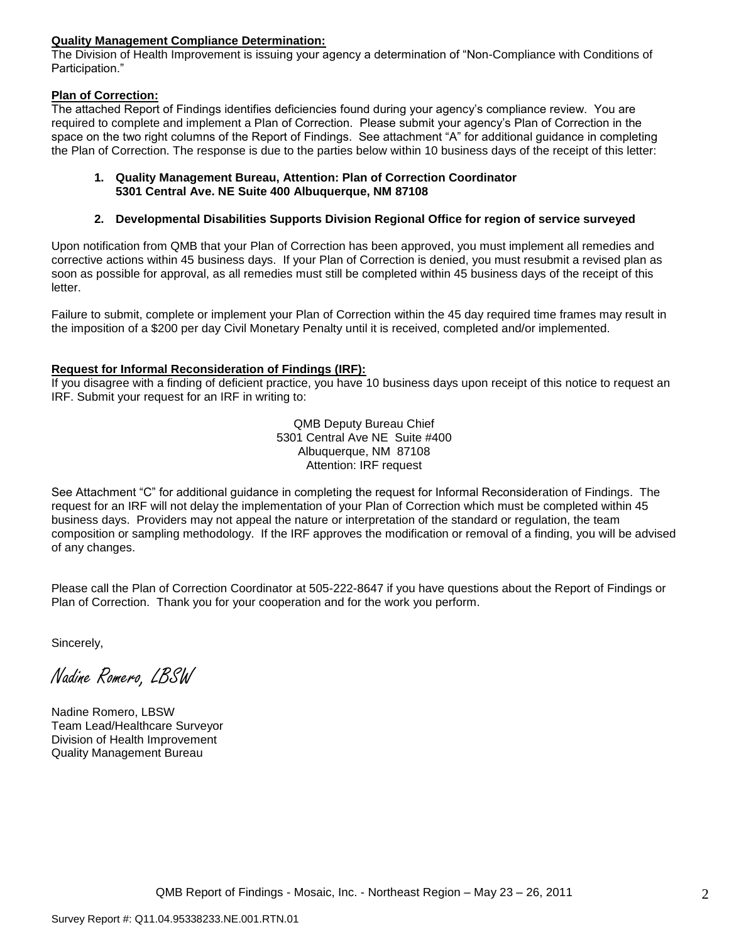### **Quality Management Compliance Determination:**

The Division of Health Improvement is issuing your agency a determination of "Non-Compliance with Conditions of Participation."

### **Plan of Correction:**

The attached Report of Findings identifies deficiencies found during your agency"s compliance review. You are required to complete and implement a Plan of Correction. Please submit your agency"s Plan of Correction in the space on the two right columns of the Report of Findings. See attachment "A" for additional guidance in completing the Plan of Correction. The response is due to the parties below within 10 business days of the receipt of this letter:

#### **1. Quality Management Bureau, Attention: Plan of Correction Coordinator 5301 Central Ave. NE Suite 400 Albuquerque, NM 87108**

### **2. Developmental Disabilities Supports Division Regional Office for region of service surveyed**

Upon notification from QMB that your Plan of Correction has been approved, you must implement all remedies and corrective actions within 45 business days. If your Plan of Correction is denied, you must resubmit a revised plan as soon as possible for approval, as all remedies must still be completed within 45 business days of the receipt of this letter.

Failure to submit, complete or implement your Plan of Correction within the 45 day required time frames may result in the imposition of a \$200 per day Civil Monetary Penalty until it is received, completed and/or implemented.

### **Request for Informal Reconsideration of Findings (IRF):**

If you disagree with a finding of deficient practice, you have 10 business days upon receipt of this notice to request an IRF. Submit your request for an IRF in writing to:

> QMB Deputy Bureau Chief 5301 Central Ave NE Suite #400 Albuquerque, NM 87108 Attention: IRF request

See Attachment "C" for additional guidance in completing the request for Informal Reconsideration of Findings. The request for an IRF will not delay the implementation of your Plan of Correction which must be completed within 45 business days. Providers may not appeal the nature or interpretation of the standard or regulation, the team composition or sampling methodology. If the IRF approves the modification or removal of a finding, you will be advised of any changes.

Please call the Plan of Correction Coordinator at 505-222-8647 if you have questions about the Report of Findings or Plan of Correction. Thank you for your cooperation and for the work you perform.

Sincerely,

Nadine Romero, LBSW

Nadine Romero, LBSW Team Lead/Healthcare Surveyor Division of Health Improvement Quality Management Bureau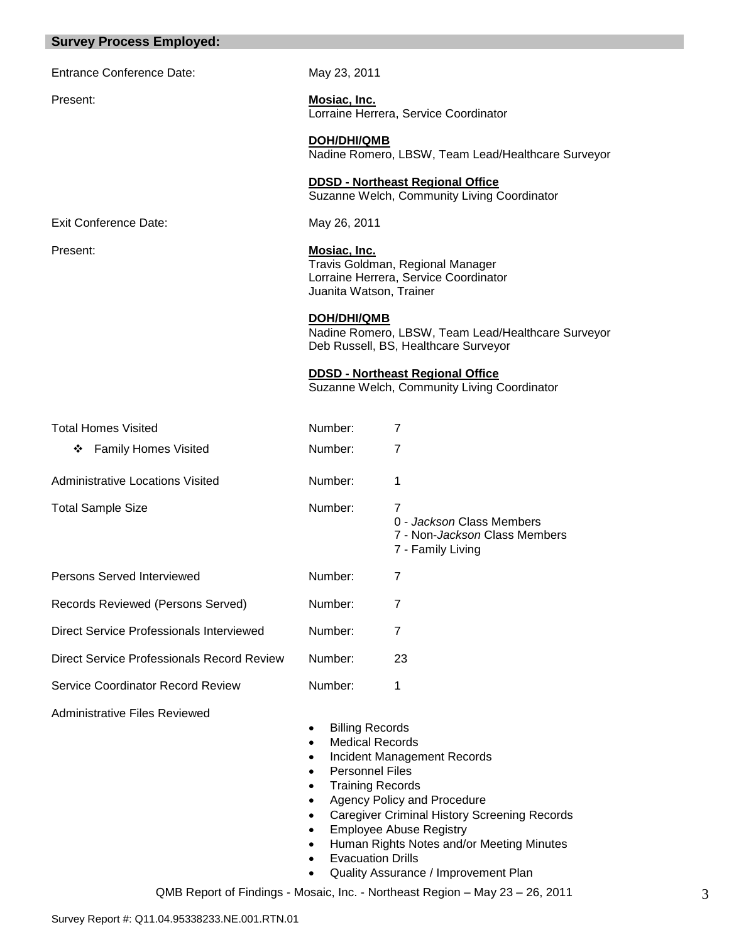| <b>Survey Process Employed:</b>            |                                                                                                                                                                                                                                                             |                                                                                                                                                                                                                                          |
|--------------------------------------------|-------------------------------------------------------------------------------------------------------------------------------------------------------------------------------------------------------------------------------------------------------------|------------------------------------------------------------------------------------------------------------------------------------------------------------------------------------------------------------------------------------------|
| <b>Entrance Conference Date:</b>           | May 23, 2011                                                                                                                                                                                                                                                |                                                                                                                                                                                                                                          |
| Present:                                   | Mosiac, Inc.                                                                                                                                                                                                                                                | Lorraine Herrera, Service Coordinator                                                                                                                                                                                                    |
|                                            | <b>DOH/DHI/QMB</b>                                                                                                                                                                                                                                          | Nadine Romero, LBSW, Team Lead/Healthcare Surveyor                                                                                                                                                                                       |
|                                            |                                                                                                                                                                                                                                                             | <b>DDSD - Northeast Regional Office</b><br>Suzanne Welch, Community Living Coordinator                                                                                                                                                   |
| <b>Exit Conference Date:</b>               | May 26, 2011                                                                                                                                                                                                                                                |                                                                                                                                                                                                                                          |
| Present:                                   | <b>Mosiac, Inc.</b><br>Juanita Watson, Trainer                                                                                                                                                                                                              | Travis Goldman, Regional Manager<br>Lorraine Herrera, Service Coordinator                                                                                                                                                                |
|                                            | DOH/DHI/QMB                                                                                                                                                                                                                                                 | Nadine Romero, LBSW, Team Lead/Healthcare Surveyor<br>Deb Russell, BS, Healthcare Surveyor                                                                                                                                               |
|                                            |                                                                                                                                                                                                                                                             | <b>DDSD - Northeast Regional Office</b><br>Suzanne Welch, Community Living Coordinator                                                                                                                                                   |
| <b>Total Homes Visited</b>                 | Number:                                                                                                                                                                                                                                                     | 7                                                                                                                                                                                                                                        |
| <b>Family Homes Visited</b><br>❖           | Number:                                                                                                                                                                                                                                                     | $\overline{7}$                                                                                                                                                                                                                           |
| <b>Administrative Locations Visited</b>    | Number:                                                                                                                                                                                                                                                     | 1                                                                                                                                                                                                                                        |
| <b>Total Sample Size</b>                   | Number:                                                                                                                                                                                                                                                     | 7<br>0 - Jackson Class Members<br>7 - Non-Jackson Class Members<br>7 - Family Living                                                                                                                                                     |
| Persons Served Interviewed                 | Number:                                                                                                                                                                                                                                                     | 7                                                                                                                                                                                                                                        |
| Records Reviewed (Persons Served)          | Number:                                                                                                                                                                                                                                                     | 7                                                                                                                                                                                                                                        |
| Direct Service Professionals Interviewed   | Number:                                                                                                                                                                                                                                                     | 7                                                                                                                                                                                                                                        |
| Direct Service Professionals Record Review | Number:                                                                                                                                                                                                                                                     | 23                                                                                                                                                                                                                                       |
| <b>Service Coordinator Record Review</b>   | Number:                                                                                                                                                                                                                                                     | 1                                                                                                                                                                                                                                        |
| <b>Administrative Files Reviewed</b>       | <b>Billing Records</b><br>$\bullet$<br><b>Medical Records</b><br>$\bullet$<br>$\bullet$<br><b>Personnel Files</b><br>$\bullet$<br><b>Training Records</b><br>$\bullet$<br>$\bullet$<br>$\bullet$<br>$\bullet$<br>$\bullet$<br><b>Evacuation Drills</b><br>٠ | Incident Management Records<br>Agency Policy and Procedure<br><b>Caregiver Criminal History Screening Records</b><br><b>Employee Abuse Registry</b><br>Human Rights Notes and/or Meeting Minutes<br>Quality Assurance / Improvement Plan |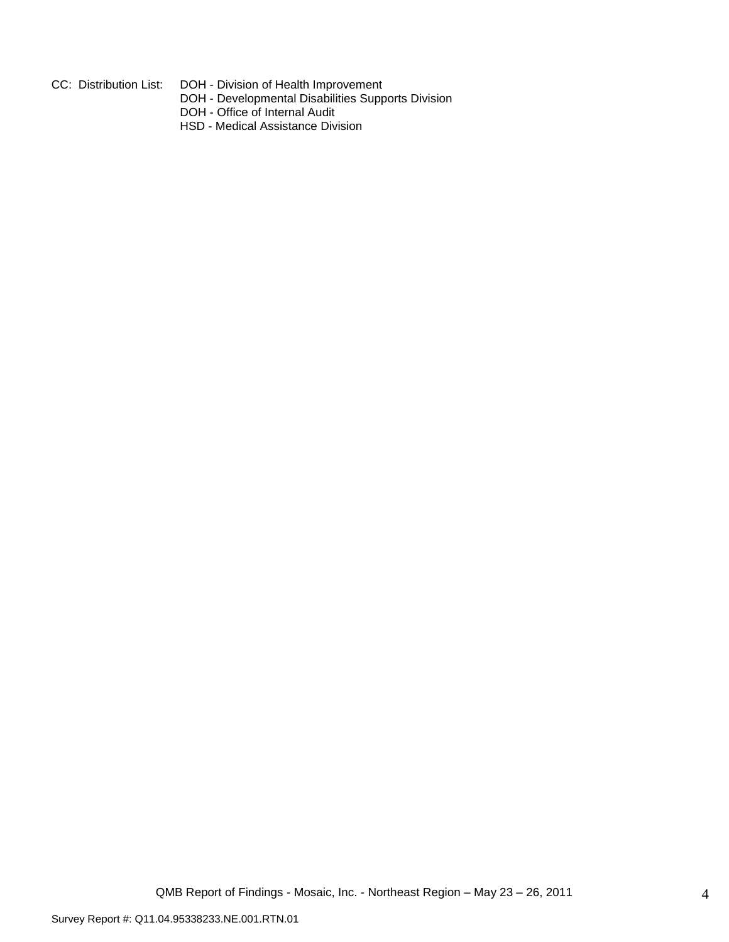- 
- CC: Distribution List: DOH Division of Health Improvement
	- DOH Developmental Disabilities Supports Division
	- DOH Office of Internal Audit
	- HSD Medical Assistance Division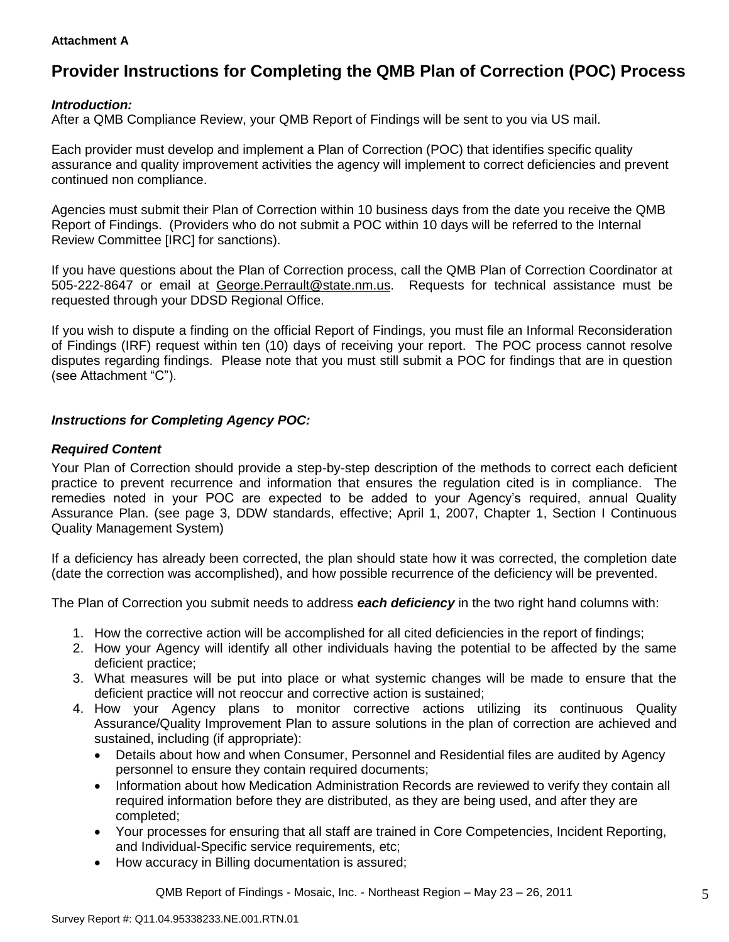### **Attachment A**

# **Provider Instructions for Completing the QMB Plan of Correction (POC) Process**

### *Introduction:*

After a QMB Compliance Review, your QMB Report of Findings will be sent to you via US mail.

Each provider must develop and implement a Plan of Correction (POC) that identifies specific quality assurance and quality improvement activities the agency will implement to correct deficiencies and prevent continued non compliance.

Agencies must submit their Plan of Correction within 10 business days from the date you receive the QMB Report of Findings. (Providers who do not submit a POC within 10 days will be referred to the Internal Review Committee [IRC] for sanctions).

If you have questions about the Plan of Correction process, call the QMB Plan of Correction Coordinator at 505-222-8647 or email at George.Perrault@state.nm.us. Requests for technical assistance must be requested through your DDSD Regional Office.

If you wish to dispute a finding on the official Report of Findings, you must file an Informal Reconsideration of Findings (IRF) request within ten (10) days of receiving your report. The POC process cannot resolve disputes regarding findings. Please note that you must still submit a POC for findings that are in question (see Attachment "C").

## *Instructions for Completing Agency POC:*

### *Required Content*

Your Plan of Correction should provide a step-by-step description of the methods to correct each deficient practice to prevent recurrence and information that ensures the regulation cited is in compliance. The remedies noted in your POC are expected to be added to your Agency"s required, annual Quality Assurance Plan. (see page 3, DDW standards, effective; April 1, 2007, Chapter 1, Section I Continuous Quality Management System)

If a deficiency has already been corrected, the plan should state how it was corrected, the completion date (date the correction was accomplished), and how possible recurrence of the deficiency will be prevented.

The Plan of Correction you submit needs to address *each deficiency* in the two right hand columns with:

- 1. How the corrective action will be accomplished for all cited deficiencies in the report of findings;
- 2. How your Agency will identify all other individuals having the potential to be affected by the same deficient practice;
- 3. What measures will be put into place or what systemic changes will be made to ensure that the deficient practice will not reoccur and corrective action is sustained;
- 4. How your Agency plans to monitor corrective actions utilizing its continuous Quality Assurance/Quality Improvement Plan to assure solutions in the plan of correction are achieved and sustained, including (if appropriate):
	- Details about how and when Consumer, Personnel and Residential files are audited by Agency personnel to ensure they contain required documents;
	- Information about how Medication Administration Records are reviewed to verify they contain all required information before they are distributed, as they are being used, and after they are completed;
	- Your processes for ensuring that all staff are trained in Core Competencies, Incident Reporting, and Individual-Specific service requirements, etc;
	- How accuracy in Billing documentation is assured;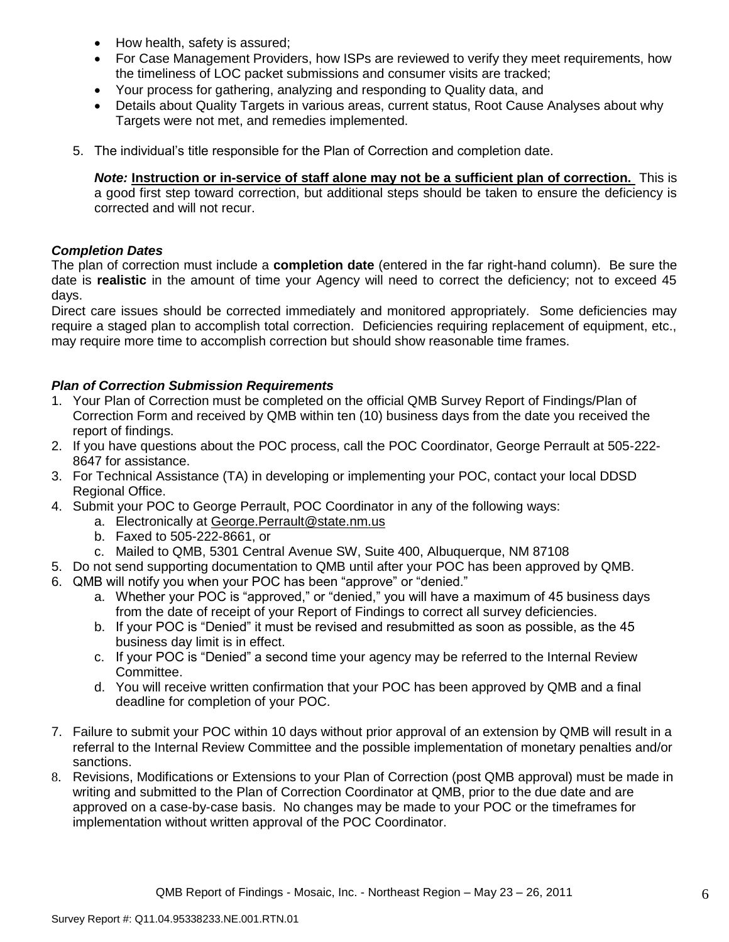- How health, safety is assured;
- For Case Management Providers, how ISPs are reviewed to verify they meet requirements, how the timeliness of LOC packet submissions and consumer visits are tracked;
- Your process for gathering, analyzing and responding to Quality data, and
- Details about Quality Targets in various areas, current status, Root Cause Analyses about why Targets were not met, and remedies implemented.
- 5. The individual"s title responsible for the Plan of Correction and completion date.

*Note:* **Instruction or in-service of staff alone may not be a sufficient plan of correction.** This is a good first step toward correction, but additional steps should be taken to ensure the deficiency is corrected and will not recur.

### *Completion Dates*

The plan of correction must include a **completion date** (entered in the far right-hand column). Be sure the date is **realistic** in the amount of time your Agency will need to correct the deficiency; not to exceed 45 days.

Direct care issues should be corrected immediately and monitored appropriately. Some deficiencies may require a staged plan to accomplish total correction. Deficiencies requiring replacement of equipment, etc., may require more time to accomplish correction but should show reasonable time frames.

## *Plan of Correction Submission Requirements*

- 1. Your Plan of Correction must be completed on the official QMB Survey Report of Findings/Plan of Correction Form and received by QMB within ten (10) business days from the date you received the report of findings.
- 2. If you have questions about the POC process, call the POC Coordinator, George Perrault at 505-222- 8647 for assistance.
- 3. For Technical Assistance (TA) in developing or implementing your POC, contact your local DDSD Regional Office.
- 4. Submit your POC to George Perrault, POC Coordinator in any of the following ways:
	- a. Electronically at [George.Perrault@state.nm.us](mailto:George.Perrault@state.nm.us)
	- b. Faxed to 505-222-8661, or
	- c. Mailed to QMB, 5301 Central Avenue SW, Suite 400, Albuquerque, NM 87108
- 5. Do not send supporting documentation to QMB until after your POC has been approved by QMB.
- 6. QMB will notify you when your POC has been "approve" or "denied."
	- a. Whether your POC is "approved," or "denied," you will have a maximum of 45 business days from the date of receipt of your Report of Findings to correct all survey deficiencies.
	- b. If your POC is "Denied" it must be revised and resubmitted as soon as possible, as the 45 business day limit is in effect.
	- c. If your POC is "Denied" a second time your agency may be referred to the Internal Review Committee.
	- d. You will receive written confirmation that your POC has been approved by QMB and a final deadline for completion of your POC.
- 7. Failure to submit your POC within 10 days without prior approval of an extension by QMB will result in a referral to the Internal Review Committee and the possible implementation of monetary penalties and/or sanctions.
- 8. Revisions, Modifications or Extensions to your Plan of Correction (post QMB approval) must be made in writing and submitted to the Plan of Correction Coordinator at QMB, prior to the due date and are approved on a case-by-case basis. No changes may be made to your POC or the timeframes for implementation without written approval of the POC Coordinator.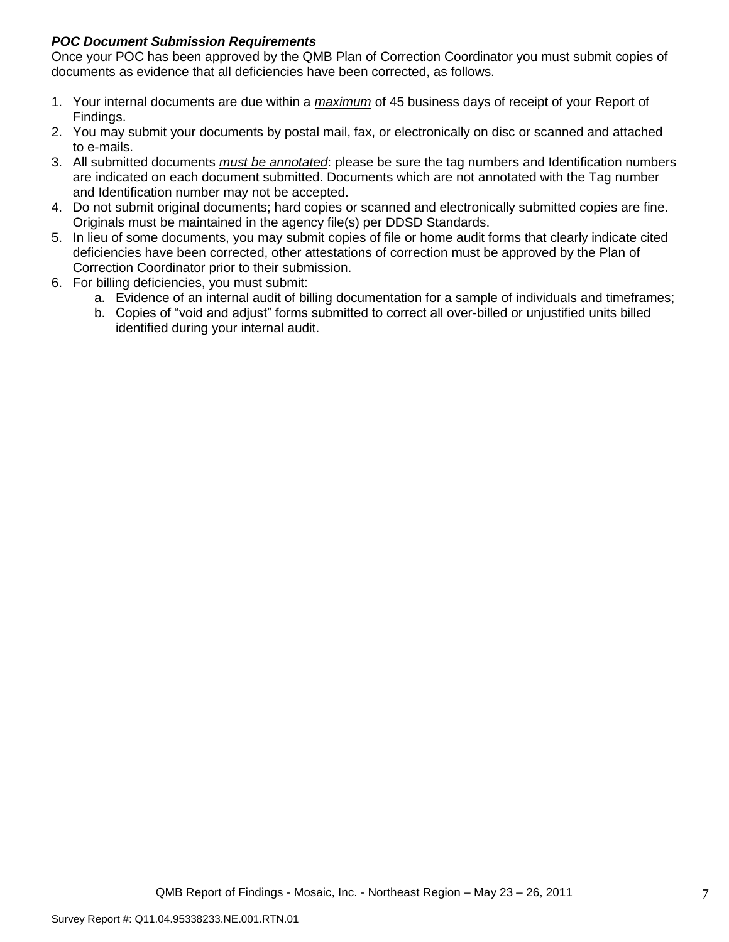## *POC Document Submission Requirements*

Once your POC has been approved by the QMB Plan of Correction Coordinator you must submit copies of documents as evidence that all deficiencies have been corrected, as follows.

- 1. Your internal documents are due within a *maximum* of 45 business days of receipt of your Report of Findings.
- 2. You may submit your documents by postal mail, fax, or electronically on disc or scanned and attached to e-mails.
- 3. All submitted documents *must be annotated*: please be sure the tag numbers and Identification numbers are indicated on each document submitted. Documents which are not annotated with the Tag number and Identification number may not be accepted.
- 4. Do not submit original documents; hard copies or scanned and electronically submitted copies are fine. Originals must be maintained in the agency file(s) per DDSD Standards.
- 5. In lieu of some documents, you may submit copies of file or home audit forms that clearly indicate cited deficiencies have been corrected, other attestations of correction must be approved by the Plan of Correction Coordinator prior to their submission.
- 6. For billing deficiencies, you must submit:
	- a. Evidence of an internal audit of billing documentation for a sample of individuals and timeframes;
	- b. Copies of "void and adjust" forms submitted to correct all over-billed or unjustified units billed identified during your internal audit.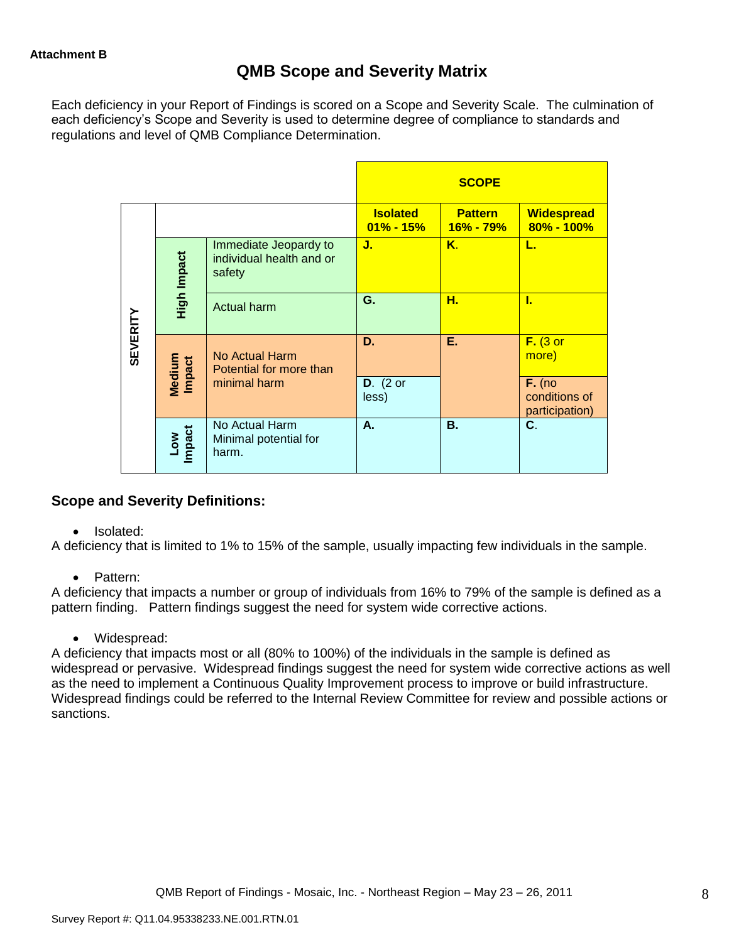## **QMB Scope and Severity Matrix**

Each deficiency in your Report of Findings is scored on a Scope and Severity Scale. The culmination of each deficiency"s Scope and Severity is used to determine degree of compliance to standards and regulations and level of QMB Compliance Determination.

|                 |                                |                                                             |                                  | <b>SCOPE</b>                |                                             |
|-----------------|--------------------------------|-------------------------------------------------------------|----------------------------------|-----------------------------|---------------------------------------------|
|                 |                                |                                                             | <b>Isolated</b><br>$01\% - 15\%$ | <b>Pattern</b><br>16% - 79% | <b>Widespread</b><br>$80\% - 100\%$         |
|                 | High Impact                    | Immediate Jeopardy to<br>individual health and or<br>safety | J.                               | K.                          | L.                                          |
|                 |                                | <b>Actual harm</b>                                          | G.                               | н.                          | L                                           |
| <b>SEVERITY</b> | <b>Medium</b><br><b>Impact</b> | No Actual Harm<br>Potential for more than                   | D.                               | Е.                          | $F.$ (3 or<br>more)                         |
|                 |                                | minimal harm                                                | $D.$ (2 or<br>less)              |                             | $F.$ (no<br>conditions of<br>participation) |
|                 | Low<br>Impact                  | No Actual Harm<br>Minimal potential for<br>harm.            | А.                               | В.                          | $\mathbf{C}$ .                              |

## **Scope and Severity Definitions:**

### • Isolated:

A deficiency that is limited to 1% to 15% of the sample, usually impacting few individuals in the sample.

• Pattern:

A deficiency that impacts a number or group of individuals from 16% to 79% of the sample is defined as a pattern finding. Pattern findings suggest the need for system wide corrective actions.

Widespread:

A deficiency that impacts most or all (80% to 100%) of the individuals in the sample is defined as widespread or pervasive. Widespread findings suggest the need for system wide corrective actions as well as the need to implement a Continuous Quality Improvement process to improve or build infrastructure. Widespread findings could be referred to the Internal Review Committee for review and possible actions or sanctions.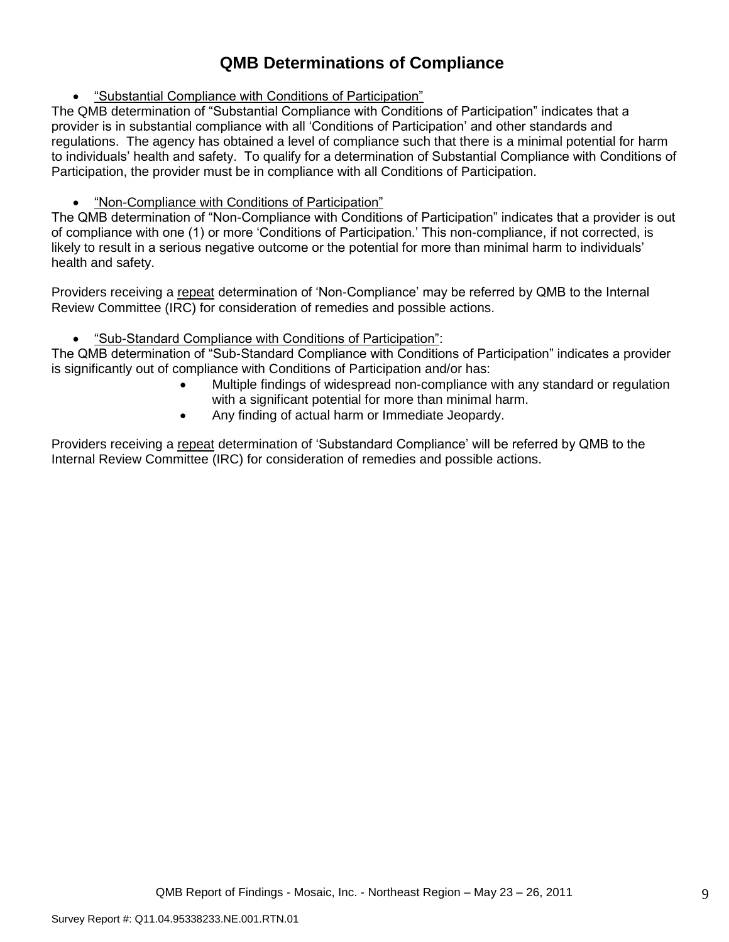# **QMB Determinations of Compliance**

"Substantial Compliance with Conditions of Participation"

The QMB determination of "Substantial Compliance with Conditions of Participation" indicates that a provider is in substantial compliance with all "Conditions of Participation" and other standards and regulations. The agency has obtained a level of compliance such that there is a minimal potential for harm to individuals" health and safety. To qualify for a determination of Substantial Compliance with Conditions of Participation, the provider must be in compliance with all Conditions of Participation.

## "Non-Compliance with Conditions of Participation"

The QMB determination of "Non-Compliance with Conditions of Participation" indicates that a provider is out of compliance with one (1) or more "Conditions of Participation." This non-compliance, if not corrected, is likely to result in a serious negative outcome or the potential for more than minimal harm to individuals' health and safety.

Providers receiving a repeat determination of 'Non-Compliance' may be referred by QMB to the Internal Review Committee (IRC) for consideration of remedies and possible actions.

## "Sub-Standard Compliance with Conditions of Participation":

The QMB determination of "Sub-Standard Compliance with Conditions of Participation" indicates a provider is significantly out of compliance with Conditions of Participation and/or has:

- Multiple findings of widespread non-compliance with any standard or regulation with a significant potential for more than minimal harm.
- Any finding of actual harm or Immediate Jeopardy.

Providers receiving a repeat determination of 'Substandard Compliance' will be referred by QMB to the Internal Review Committee (IRC) for consideration of remedies and possible actions.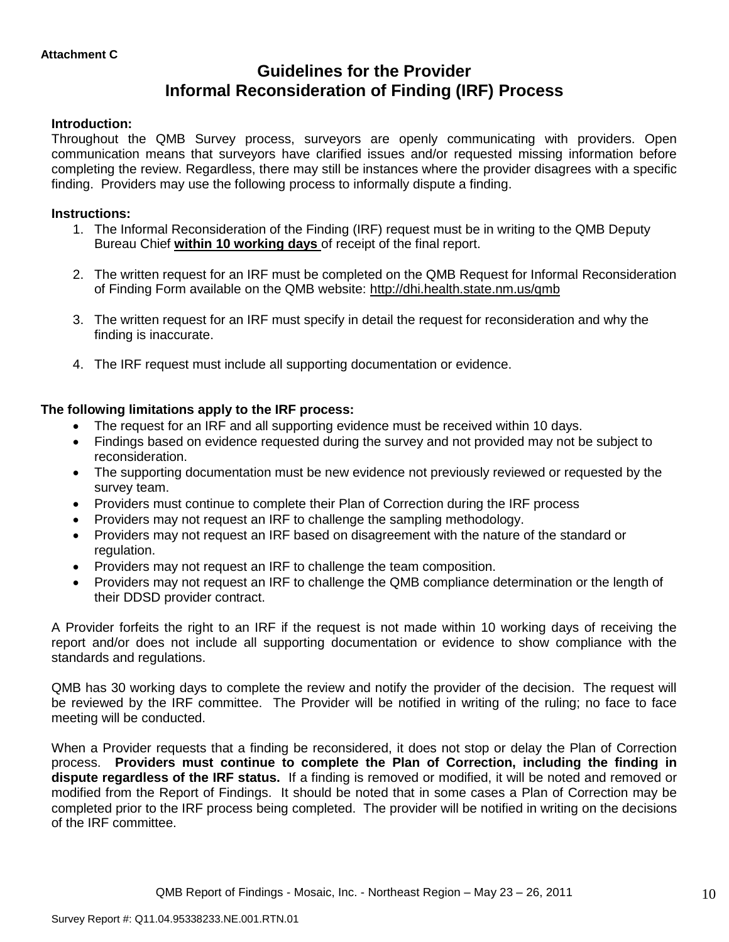# **Guidelines for the Provider Informal Reconsideration of Finding (IRF) Process**

### **Introduction:**

Throughout the QMB Survey process, surveyors are openly communicating with providers. Open communication means that surveyors have clarified issues and/or requested missing information before completing the review. Regardless, there may still be instances where the provider disagrees with a specific finding. Providers may use the following process to informally dispute a finding.

### **Instructions:**

- 1. The Informal Reconsideration of the Finding (IRF) request must be in writing to the QMB Deputy Bureau Chief **within 10 working days** of receipt of the final report.
- 2. The written request for an IRF must be completed on the QMB Request for Informal Reconsideration of Finding Form available on the QMB website:<http://dhi.health.state.nm.us/qmb>
- 3. The written request for an IRF must specify in detail the request for reconsideration and why the finding is inaccurate.
- 4. The IRF request must include all supporting documentation or evidence.

## **The following limitations apply to the IRF process:**

- The request for an IRF and all supporting evidence must be received within 10 days.
- Findings based on evidence requested during the survey and not provided may not be subject to reconsideration.
- The supporting documentation must be new evidence not previously reviewed or requested by the survey team.
- Providers must continue to complete their Plan of Correction during the IRF process
- Providers may not request an IRF to challenge the sampling methodology.
- Providers may not request an IRF based on disagreement with the nature of the standard or regulation.
- Providers may not request an IRF to challenge the team composition.
- Providers may not request an IRF to challenge the QMB compliance determination or the length of their DDSD provider contract.

A Provider forfeits the right to an IRF if the request is not made within 10 working days of receiving the report and/or does not include all supporting documentation or evidence to show compliance with the standards and regulations.

QMB has 30 working days to complete the review and notify the provider of the decision. The request will be reviewed by the IRF committee. The Provider will be notified in writing of the ruling; no face to face meeting will be conducted.

When a Provider requests that a finding be reconsidered, it does not stop or delay the Plan of Correction process. **Providers must continue to complete the Plan of Correction, including the finding in dispute regardless of the IRF status.** If a finding is removed or modified, it will be noted and removed or modified from the Report of Findings. It should be noted that in some cases a Plan of Correction may be completed prior to the IRF process being completed. The provider will be notified in writing on the decisions of the IRF committee.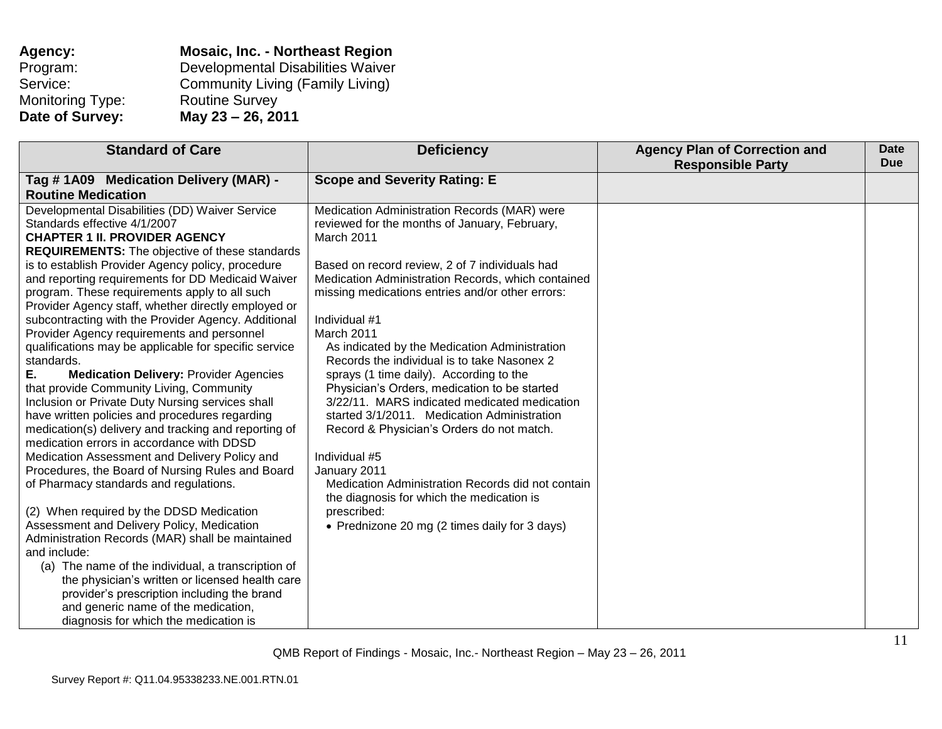| Agency:                 | <b>Mosaic, Inc. - Northeast Region</b>  |
|-------------------------|-----------------------------------------|
| Program:                | Developmental Disabilities Waiver       |
| Service:                | <b>Community Living (Family Living)</b> |
| <b>Monitoring Type:</b> | <b>Routine Survey</b>                   |
| Date of Survey:         | May 23 - 26, 2011                       |

| <b>Standard of Care</b>                                                                                | <b>Deficiency</b>                                                                                    | <b>Agency Plan of Correction and</b><br><b>Responsible Party</b> | Date<br><b>Due</b> |
|--------------------------------------------------------------------------------------------------------|------------------------------------------------------------------------------------------------------|------------------------------------------------------------------|--------------------|
| Tag #1A09 Medication Delivery (MAR) -                                                                  | <b>Scope and Severity Rating: E</b>                                                                  |                                                                  |                    |
| <b>Routine Medication</b>                                                                              |                                                                                                      |                                                                  |                    |
| Developmental Disabilities (DD) Waiver Service                                                         | Medication Administration Records (MAR) were                                                         |                                                                  |                    |
| Standards effective 4/1/2007                                                                           | reviewed for the months of January, February,                                                        |                                                                  |                    |
| <b>CHAPTER 1 II. PROVIDER AGENCY</b>                                                                   | March 2011                                                                                           |                                                                  |                    |
| <b>REQUIREMENTS:</b> The objective of these standards                                                  |                                                                                                      |                                                                  |                    |
| is to establish Provider Agency policy, procedure<br>and reporting requirements for DD Medicaid Waiver | Based on record review, 2 of 7 individuals had<br>Medication Administration Records, which contained |                                                                  |                    |
| program. These requirements apply to all such                                                          | missing medications entries and/or other errors:                                                     |                                                                  |                    |
| Provider Agency staff, whether directly employed or                                                    |                                                                                                      |                                                                  |                    |
| subcontracting with the Provider Agency. Additional                                                    | Individual #1                                                                                        |                                                                  |                    |
| Provider Agency requirements and personnel                                                             | March 2011                                                                                           |                                                                  |                    |
| qualifications may be applicable for specific service                                                  | As indicated by the Medication Administration                                                        |                                                                  |                    |
| standards.                                                                                             | Records the individual is to take Nasonex 2                                                          |                                                                  |                    |
| Е.<br><b>Medication Delivery: Provider Agencies</b>                                                    | sprays (1 time daily). According to the                                                              |                                                                  |                    |
| that provide Community Living, Community                                                               | Physician's Orders, medication to be started                                                         |                                                                  |                    |
| Inclusion or Private Duty Nursing services shall                                                       | 3/22/11. MARS indicated medicated medication                                                         |                                                                  |                    |
| have written policies and procedures regarding                                                         | started 3/1/2011. Medication Administration                                                          |                                                                  |                    |
| medication(s) delivery and tracking and reporting of                                                   | Record & Physician's Orders do not match.                                                            |                                                                  |                    |
| medication errors in accordance with DDSD                                                              |                                                                                                      |                                                                  |                    |
| Medication Assessment and Delivery Policy and                                                          | Individual #5                                                                                        |                                                                  |                    |
| Procedures, the Board of Nursing Rules and Board                                                       | January 2011                                                                                         |                                                                  |                    |
| of Pharmacy standards and regulations.                                                                 | Medication Administration Records did not contain                                                    |                                                                  |                    |
|                                                                                                        | the diagnosis for which the medication is                                                            |                                                                  |                    |
| (2) When required by the DDSD Medication                                                               | prescribed:                                                                                          |                                                                  |                    |
| Assessment and Delivery Policy, Medication                                                             | • Prednizone 20 mg (2 times daily for 3 days)                                                        |                                                                  |                    |
| Administration Records (MAR) shall be maintained                                                       |                                                                                                      |                                                                  |                    |
| and include:                                                                                           |                                                                                                      |                                                                  |                    |
| (a) The name of the individual, a transcription of                                                     |                                                                                                      |                                                                  |                    |
| the physician's written or licensed health care                                                        |                                                                                                      |                                                                  |                    |
| provider's prescription including the brand                                                            |                                                                                                      |                                                                  |                    |
| and generic name of the medication,                                                                    |                                                                                                      |                                                                  |                    |
| diagnosis for which the medication is                                                                  |                                                                                                      |                                                                  |                    |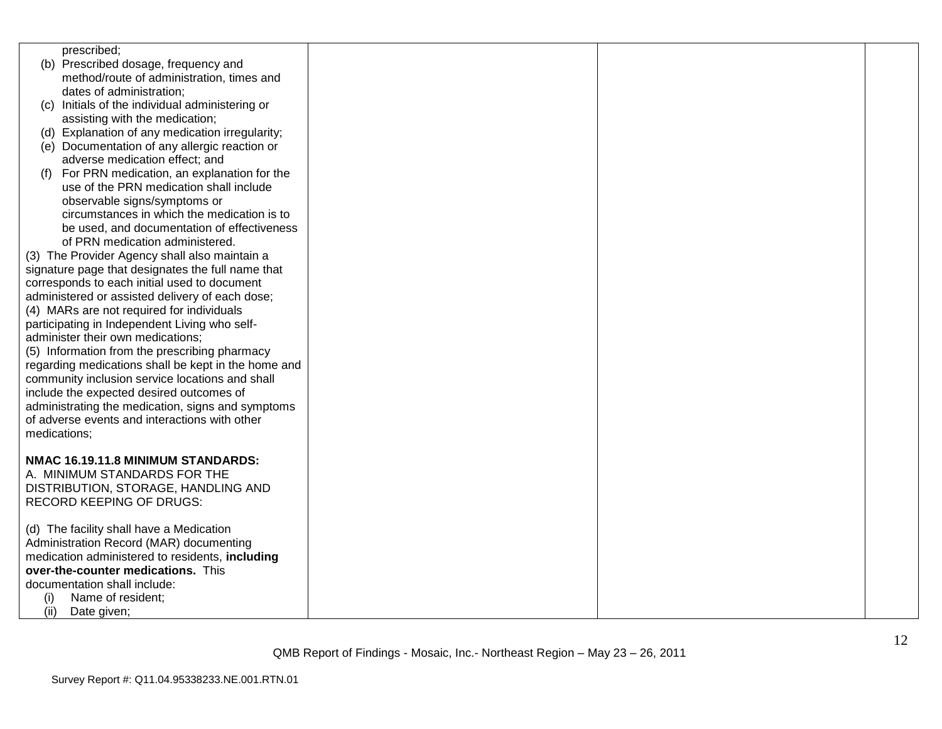| prescribed;                                         |  |  |
|-----------------------------------------------------|--|--|
| (b) Prescribed dosage, frequency and                |  |  |
| method/route of administration, times and           |  |  |
| dates of administration;                            |  |  |
| Initials of the individual administering or<br>(C)  |  |  |
| assisting with the medication;                      |  |  |
| (d) Explanation of any medication irregularity;     |  |  |
| (e) Documentation of any allergic reaction or       |  |  |
| adverse medication effect; and                      |  |  |
| For PRN medication, an explanation for the<br>(t)   |  |  |
| use of the PRN medication shall include             |  |  |
| observable signs/symptoms or                        |  |  |
| circumstances in which the medication is to         |  |  |
| be used, and documentation of effectiveness         |  |  |
| of PRN medication administered.                     |  |  |
| (3) The Provider Agency shall also maintain a       |  |  |
| signature page that designates the full name that   |  |  |
| corresponds to each initial used to document        |  |  |
| administered or assisted delivery of each dose;     |  |  |
| (4) MARs are not required for individuals           |  |  |
| participating in Independent Living who self-       |  |  |
| administer their own medications;                   |  |  |
| (5) Information from the prescribing pharmacy       |  |  |
| regarding medications shall be kept in the home and |  |  |
| community inclusion service locations and shall     |  |  |
| include the expected desired outcomes of            |  |  |
| administrating the medication, signs and symptoms   |  |  |
| of adverse events and interactions with other       |  |  |
| medications;                                        |  |  |
|                                                     |  |  |
| NMAC 16.19.11.8 MINIMUM STANDARDS:                  |  |  |
| A. MINIMUM STANDARDS FOR THE                        |  |  |
| DISTRIBUTION, STORAGE, HANDLING AND                 |  |  |
| <b>RECORD KEEPING OF DRUGS:</b>                     |  |  |
|                                                     |  |  |
| (d) The facility shall have a Medication            |  |  |
| Administration Record (MAR) documenting             |  |  |
| medication administered to residents, including     |  |  |
| over-the-counter medications. This                  |  |  |
| documentation shall include:                        |  |  |
| (i)<br>Name of resident;                            |  |  |
| (ii)<br>Date given;                                 |  |  |
|                                                     |  |  |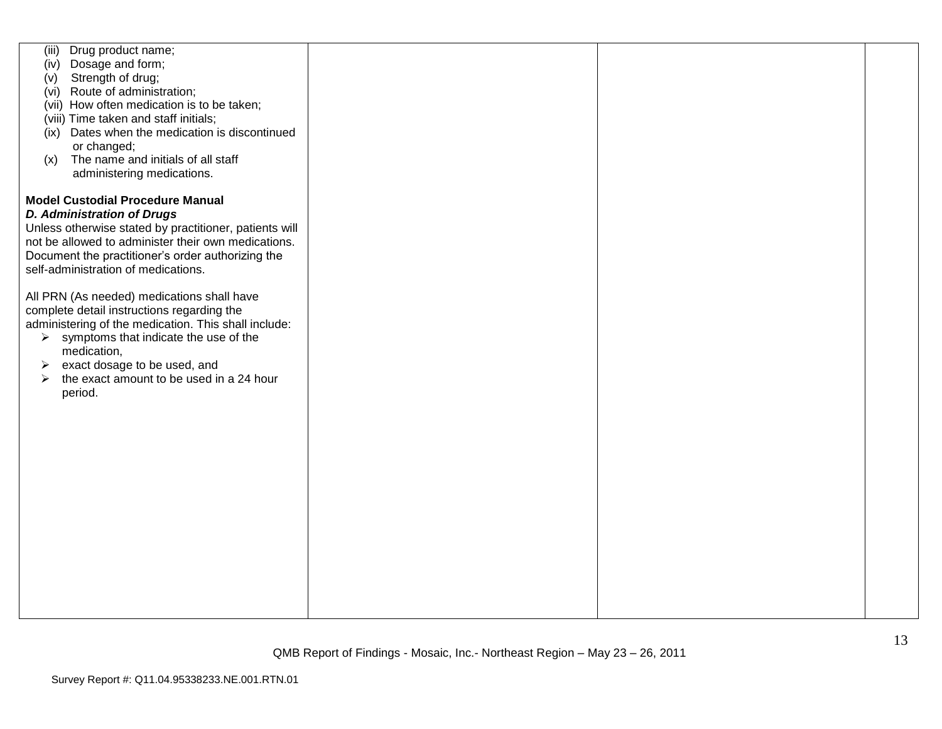| Drug product name;<br>(iii)<br>Dosage and form;<br>(iv)<br>Strength of drug;<br>(v)<br>(vi) Route of administration;<br>(vii) How often medication is to be taken;<br>(viii) Time taken and staff initials;<br>(ix) Dates when the medication is discontinued<br>or changed;<br>The name and initials of all staff<br>(x)<br>administering medications. |  |  |
|---------------------------------------------------------------------------------------------------------------------------------------------------------------------------------------------------------------------------------------------------------------------------------------------------------------------------------------------------------|--|--|
| <b>Model Custodial Procedure Manual</b>                                                                                                                                                                                                                                                                                                                 |  |  |
| <b>D. Administration of Drugs</b>                                                                                                                                                                                                                                                                                                                       |  |  |
| Unless otherwise stated by practitioner, patients will                                                                                                                                                                                                                                                                                                  |  |  |
| not be allowed to administer their own medications.                                                                                                                                                                                                                                                                                                     |  |  |
|                                                                                                                                                                                                                                                                                                                                                         |  |  |
| Document the practitioner's order authorizing the                                                                                                                                                                                                                                                                                                       |  |  |
| self-administration of medications.                                                                                                                                                                                                                                                                                                                     |  |  |
|                                                                                                                                                                                                                                                                                                                                                         |  |  |
| All PRN (As needed) medications shall have                                                                                                                                                                                                                                                                                                              |  |  |
| complete detail instructions regarding the                                                                                                                                                                                                                                                                                                              |  |  |
| administering of the medication. This shall include:                                                                                                                                                                                                                                                                                                    |  |  |
| symptoms that indicate the use of the<br>$\blacktriangleright$                                                                                                                                                                                                                                                                                          |  |  |
| medication,                                                                                                                                                                                                                                                                                                                                             |  |  |
| exact dosage to be used, and<br>➤                                                                                                                                                                                                                                                                                                                       |  |  |
| the exact amount to be used in a 24 hour<br>➤                                                                                                                                                                                                                                                                                                           |  |  |
| period.                                                                                                                                                                                                                                                                                                                                                 |  |  |
|                                                                                                                                                                                                                                                                                                                                                         |  |  |
|                                                                                                                                                                                                                                                                                                                                                         |  |  |
|                                                                                                                                                                                                                                                                                                                                                         |  |  |
|                                                                                                                                                                                                                                                                                                                                                         |  |  |
|                                                                                                                                                                                                                                                                                                                                                         |  |  |
|                                                                                                                                                                                                                                                                                                                                                         |  |  |
|                                                                                                                                                                                                                                                                                                                                                         |  |  |
|                                                                                                                                                                                                                                                                                                                                                         |  |  |
|                                                                                                                                                                                                                                                                                                                                                         |  |  |
|                                                                                                                                                                                                                                                                                                                                                         |  |  |
|                                                                                                                                                                                                                                                                                                                                                         |  |  |
|                                                                                                                                                                                                                                                                                                                                                         |  |  |
|                                                                                                                                                                                                                                                                                                                                                         |  |  |
|                                                                                                                                                                                                                                                                                                                                                         |  |  |
|                                                                                                                                                                                                                                                                                                                                                         |  |  |
|                                                                                                                                                                                                                                                                                                                                                         |  |  |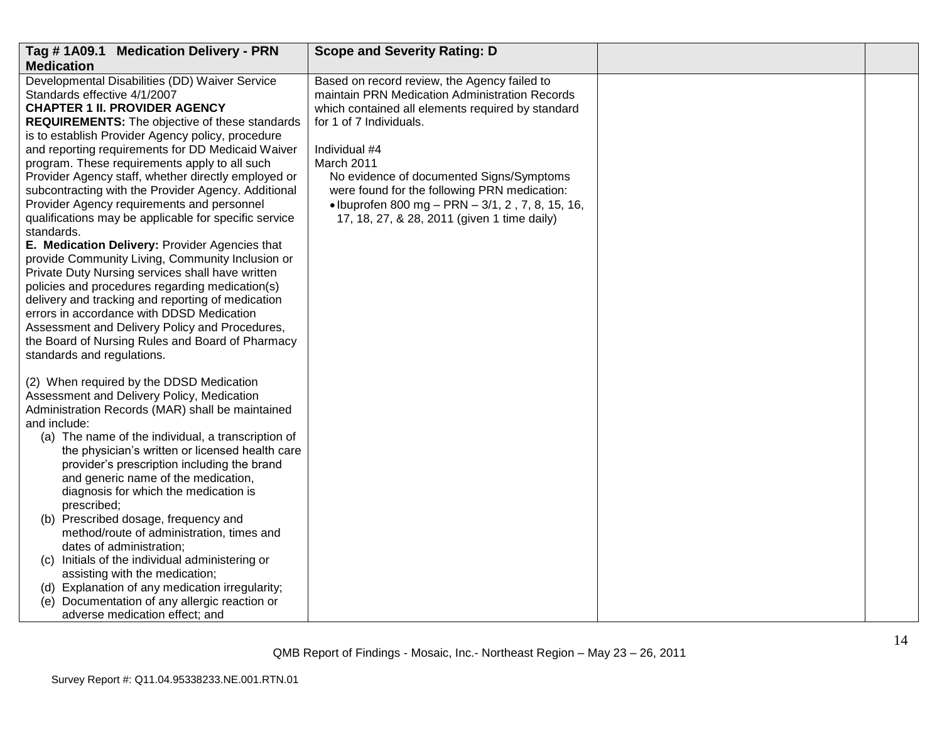| Tag #1A09.1 Medication Delivery - PRN                                                                                                                                                                                                                                                                                                                                                                                                                                                                                                                                                                                                                                                                                                                                                                                                                                                                                                                                                                                            | <b>Scope and Severity Rating: D</b>                                                                                                                                                                                                                                                                                                                                                                             |  |
|----------------------------------------------------------------------------------------------------------------------------------------------------------------------------------------------------------------------------------------------------------------------------------------------------------------------------------------------------------------------------------------------------------------------------------------------------------------------------------------------------------------------------------------------------------------------------------------------------------------------------------------------------------------------------------------------------------------------------------------------------------------------------------------------------------------------------------------------------------------------------------------------------------------------------------------------------------------------------------------------------------------------------------|-----------------------------------------------------------------------------------------------------------------------------------------------------------------------------------------------------------------------------------------------------------------------------------------------------------------------------------------------------------------------------------------------------------------|--|
| <b>Medication</b>                                                                                                                                                                                                                                                                                                                                                                                                                                                                                                                                                                                                                                                                                                                                                                                                                                                                                                                                                                                                                |                                                                                                                                                                                                                                                                                                                                                                                                                 |  |
| Developmental Disabilities (DD) Waiver Service<br>Standards effective 4/1/2007<br><b>CHAPTER 1 II. PROVIDER AGENCY</b><br><b>REQUIREMENTS:</b> The objective of these standards<br>is to establish Provider Agency policy, procedure<br>and reporting requirements for DD Medicaid Waiver<br>program. These requirements apply to all such<br>Provider Agency staff, whether directly employed or<br>subcontracting with the Provider Agency. Additional<br>Provider Agency requirements and personnel<br>qualifications may be applicable for specific service<br>standards.<br>E. Medication Delivery: Provider Agencies that<br>provide Community Living, Community Inclusion or<br>Private Duty Nursing services shall have written<br>policies and procedures regarding medication(s)<br>delivery and tracking and reporting of medication<br>errors in accordance with DDSD Medication<br>Assessment and Delivery Policy and Procedures,<br>the Board of Nursing Rules and Board of Pharmacy<br>standards and regulations. | Based on record review, the Agency failed to<br>maintain PRN Medication Administration Records<br>which contained all elements required by standard<br>for 1 of 7 Individuals.<br>Individual #4<br>March 2011<br>No evidence of documented Signs/Symptoms<br>were found for the following PRN medication:<br>• Ibuprofen 800 mg – PRN – $3/1$ , 2, 7, 8, 15, 16,<br>17, 18, 27, & 28, 2011 (given 1 time daily) |  |
| (2) When required by the DDSD Medication<br>Assessment and Delivery Policy, Medication<br>Administration Records (MAR) shall be maintained<br>and include:<br>(a) The name of the individual, a transcription of<br>the physician's written or licensed health care<br>provider's prescription including the brand<br>and generic name of the medication,<br>diagnosis for which the medication is<br>prescribed;<br>(b) Prescribed dosage, frequency and<br>method/route of administration, times and<br>dates of administration;<br>(c) Initials of the individual administering or<br>assisting with the medication;<br>(d) Explanation of any medication irregularity;<br>(e) Documentation of any allergic reaction or<br>adverse medication effect; and                                                                                                                                                                                                                                                                    |                                                                                                                                                                                                                                                                                                                                                                                                                 |  |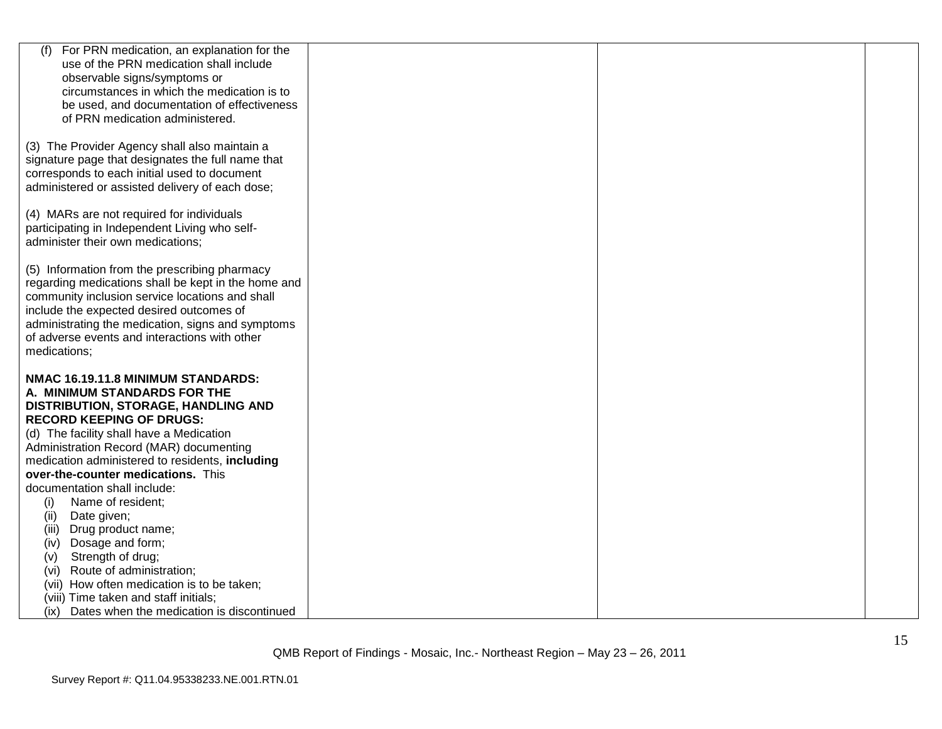| For PRN medication, an explanation for the                                                             |  |  |
|--------------------------------------------------------------------------------------------------------|--|--|
| use of the PRN medication shall include                                                                |  |  |
| observable signs/symptoms or                                                                           |  |  |
| circumstances in which the medication is to                                                            |  |  |
| be used, and documentation of effectiveness<br>of PRN medication administered.                         |  |  |
|                                                                                                        |  |  |
| (3) The Provider Agency shall also maintain a                                                          |  |  |
| signature page that designates the full name that                                                      |  |  |
| corresponds to each initial used to document                                                           |  |  |
| administered or assisted delivery of each dose;                                                        |  |  |
|                                                                                                        |  |  |
| (4) MARs are not required for individuals                                                              |  |  |
| participating in Independent Living who self-                                                          |  |  |
| administer their own medications;                                                                      |  |  |
|                                                                                                        |  |  |
| (5) Information from the prescribing pharmacy                                                          |  |  |
| regarding medications shall be kept in the home and<br>community inclusion service locations and shall |  |  |
| include the expected desired outcomes of                                                               |  |  |
| administrating the medication, signs and symptoms                                                      |  |  |
| of adverse events and interactions with other                                                          |  |  |
| medications;                                                                                           |  |  |
|                                                                                                        |  |  |
| NMAC 16.19.11.8 MINIMUM STANDARDS:                                                                     |  |  |
| A. MINIMUM STANDARDS FOR THE                                                                           |  |  |
| DISTRIBUTION, STORAGE, HANDLING AND                                                                    |  |  |
| <b>RECORD KEEPING OF DRUGS:</b>                                                                        |  |  |
| (d) The facility shall have a Medication                                                               |  |  |
| Administration Record (MAR) documenting                                                                |  |  |
| medication administered to residents, including                                                        |  |  |
| over-the-counter medications. This<br>documentation shall include:                                     |  |  |
| Name of resident;<br>(i)                                                                               |  |  |
| (ii)<br>Date given;                                                                                    |  |  |
| Drug product name;<br>(iii)                                                                            |  |  |
| Dosage and form;<br>(iv)                                                                               |  |  |
| Strength of drug;<br>(V)                                                                               |  |  |
| (vi) Route of administration;                                                                          |  |  |
| (vii) How often medication is to be taken;                                                             |  |  |
| (viii) Time taken and staff initials;                                                                  |  |  |
| (ix) Dates when the medication is discontinued                                                         |  |  |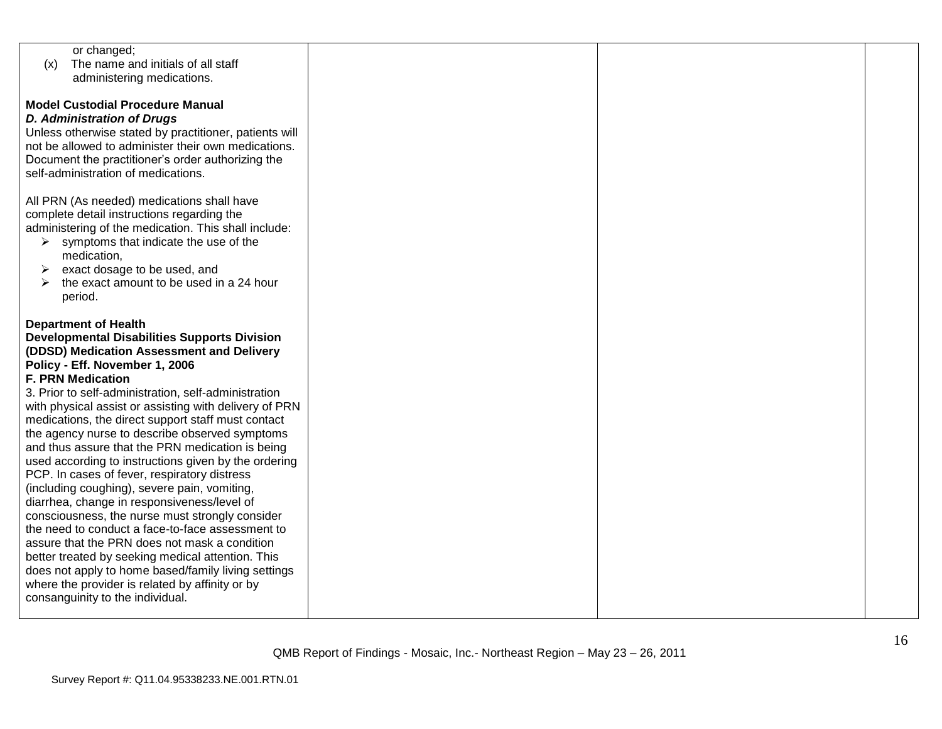| or changed;                                            |  |  |
|--------------------------------------------------------|--|--|
| The name and initials of all staff<br>(x)              |  |  |
| administering medications.                             |  |  |
|                                                        |  |  |
| <b>Model Custodial Procedure Manual</b>                |  |  |
| <b>D. Administration of Drugs</b>                      |  |  |
|                                                        |  |  |
| Unless otherwise stated by practitioner, patients will |  |  |
| not be allowed to administer their own medications.    |  |  |
| Document the practitioner's order authorizing the      |  |  |
| self-administration of medications.                    |  |  |
|                                                        |  |  |
| All PRN (As needed) medications shall have             |  |  |
| complete detail instructions regarding the             |  |  |
| administering of the medication. This shall include:   |  |  |
| symptoms that indicate the use of the<br>➤             |  |  |
| medication,                                            |  |  |
|                                                        |  |  |
| exact dosage to be used, and<br>➤                      |  |  |
| the exact amount to be used in a 24 hour               |  |  |
| period.                                                |  |  |
|                                                        |  |  |
| <b>Department of Health</b>                            |  |  |
| <b>Developmental Disabilities Supports Division</b>    |  |  |
| (DDSD) Medication Assessment and Delivery              |  |  |
| Policy - Eff. November 1, 2006                         |  |  |
| <b>F. PRN Medication</b>                               |  |  |
| 3. Prior to self-administration, self-administration   |  |  |
| with physical assist or assisting with delivery of PRN |  |  |
| medications, the direct support staff must contact     |  |  |
|                                                        |  |  |
| the agency nurse to describe observed symptoms         |  |  |
| and thus assure that the PRN medication is being       |  |  |
| used according to instructions given by the ordering   |  |  |
| PCP. In cases of fever, respiratory distress           |  |  |
| (including coughing), severe pain, vomiting,           |  |  |
| diarrhea, change in responsiveness/level of            |  |  |
| consciousness, the nurse must strongly consider        |  |  |
| the need to conduct a face-to-face assessment to       |  |  |
| assure that the PRN does not mask a condition          |  |  |
| better treated by seeking medical attention. This      |  |  |
| does not apply to home based/family living settings    |  |  |
|                                                        |  |  |
| where the provider is related by affinity or by        |  |  |
| consanguinity to the individual.                       |  |  |
|                                                        |  |  |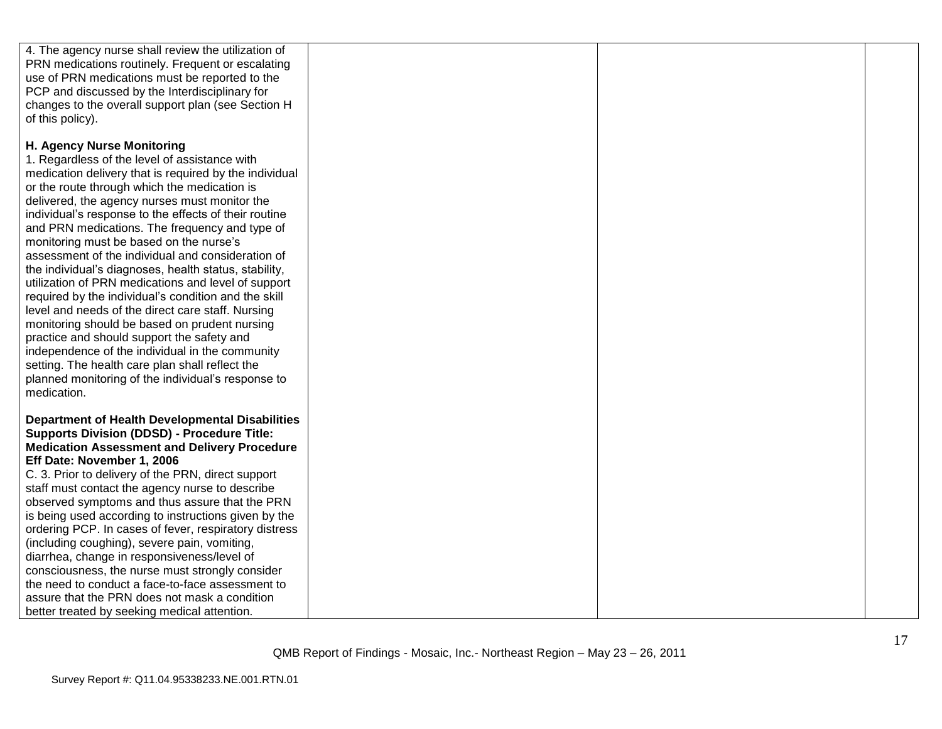| 4. The agency nurse shall review the utilization of    |  |  |
|--------------------------------------------------------|--|--|
| PRN medications routinely. Frequent or escalating      |  |  |
| use of PRN medications must be reported to the         |  |  |
| PCP and discussed by the Interdisciplinary for         |  |  |
| changes to the overall support plan (see Section H     |  |  |
|                                                        |  |  |
| of this policy).                                       |  |  |
|                                                        |  |  |
| H. Agency Nurse Monitoring                             |  |  |
| 1. Regardless of the level of assistance with          |  |  |
| medication delivery that is required by the individual |  |  |
| or the route through which the medication is           |  |  |
| delivered, the agency nurses must monitor the          |  |  |
| individual's response to the effects of their routine  |  |  |
| and PRN medications. The frequency and type of         |  |  |
| monitoring must be based on the nurse's                |  |  |
| assessment of the individual and consideration of      |  |  |
| the individual's diagnoses, health status, stability,  |  |  |
| utilization of PRN medications and level of support    |  |  |
| required by the individual's condition and the skill   |  |  |
| level and needs of the direct care staff. Nursing      |  |  |
| monitoring should be based on prudent nursing          |  |  |
| practice and should support the safety and             |  |  |
| independence of the individual in the community        |  |  |
| setting. The health care plan shall reflect the        |  |  |
| planned monitoring of the individual's response to     |  |  |
| medication.                                            |  |  |
|                                                        |  |  |
| <b>Department of Health Developmental Disabilities</b> |  |  |
| <b>Supports Division (DDSD) - Procedure Title:</b>     |  |  |
| <b>Medication Assessment and Delivery Procedure</b>    |  |  |
| Eff Date: November 1, 2006                             |  |  |
| C. 3. Prior to delivery of the PRN, direct support     |  |  |
| staff must contact the agency nurse to describe        |  |  |
| observed symptoms and thus assure that the PRN         |  |  |
| is being used according to instructions given by the   |  |  |
| ordering PCP. In cases of fever, respiratory distress  |  |  |
| (including coughing), severe pain, vomiting,           |  |  |
| diarrhea, change in responsiveness/level of            |  |  |
| consciousness, the nurse must strongly consider        |  |  |
| the need to conduct a face-to-face assessment to       |  |  |
| assure that the PRN does not mask a condition          |  |  |
| better treated by seeking medical attention.           |  |  |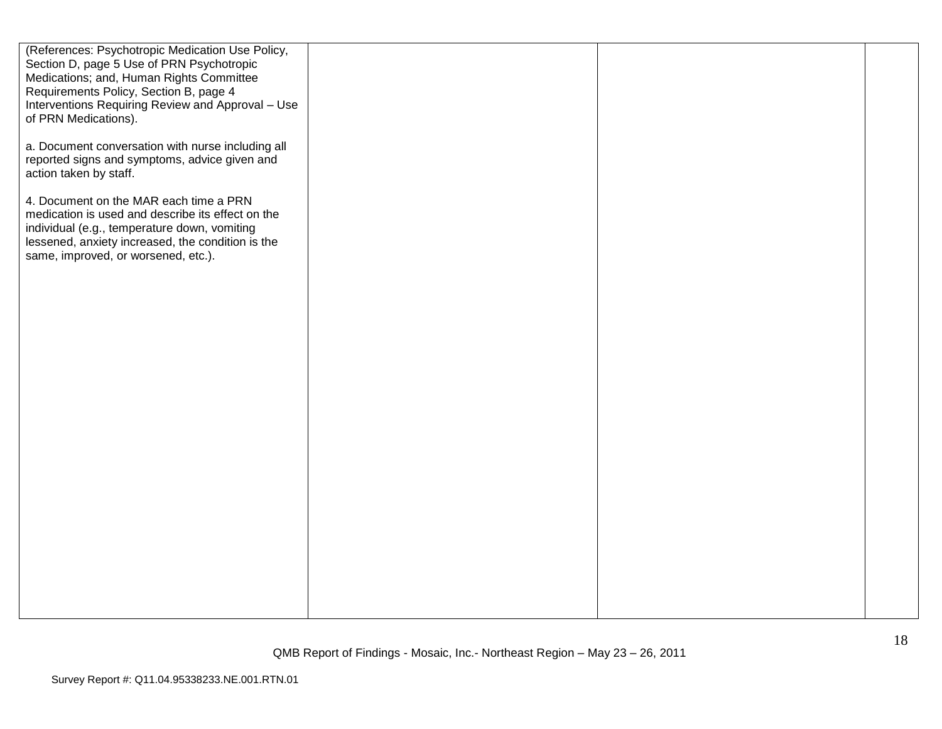| (References: Psychotropic Medication Use Policy,<br>Section D, page 5 Use of PRN Psychotropic<br>Medications; and, Human Rights Committee<br>Requirements Policy, Section B, page 4<br>Interventions Requiring Review and Approval - Use<br>of PRN Medications). |  |  |
|------------------------------------------------------------------------------------------------------------------------------------------------------------------------------------------------------------------------------------------------------------------|--|--|
| a. Document conversation with nurse including all<br>reported signs and symptoms, advice given and<br>action taken by staff.                                                                                                                                     |  |  |
| 4. Document on the MAR each time a PRN<br>medication is used and describe its effect on the<br>individual (e.g., temperature down, vomiting<br>lessened, anxiety increased, the condition is the<br>same, improved, or worsened, etc.).                          |  |  |
|                                                                                                                                                                                                                                                                  |  |  |
|                                                                                                                                                                                                                                                                  |  |  |
|                                                                                                                                                                                                                                                                  |  |  |
|                                                                                                                                                                                                                                                                  |  |  |
|                                                                                                                                                                                                                                                                  |  |  |
|                                                                                                                                                                                                                                                                  |  |  |
|                                                                                                                                                                                                                                                                  |  |  |
|                                                                                                                                                                                                                                                                  |  |  |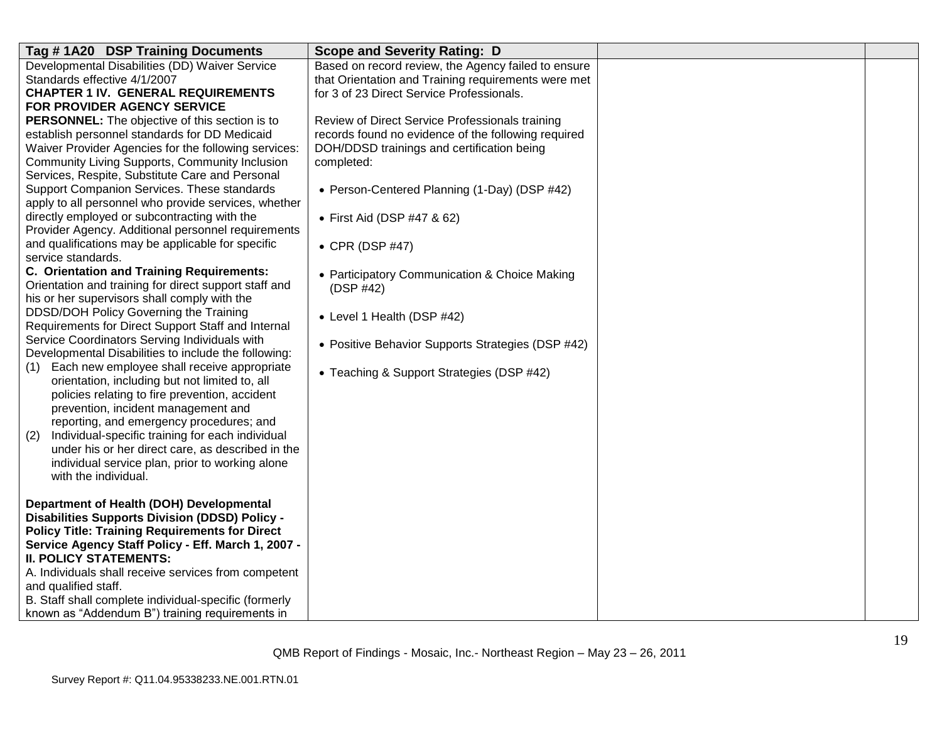| Tag #1A20 DSP Training Documents                                                                     | <b>Scope and Severity Rating: D</b>                 |  |
|------------------------------------------------------------------------------------------------------|-----------------------------------------------------|--|
| Developmental Disabilities (DD) Waiver Service                                                       | Based on record review, the Agency failed to ensure |  |
| Standards effective 4/1/2007                                                                         | that Orientation and Training requirements were met |  |
| <b>CHAPTER 1 IV. GENERAL REQUIREMENTS</b>                                                            | for 3 of 23 Direct Service Professionals.           |  |
| FOR PROVIDER AGENCY SERVICE                                                                          |                                                     |  |
| PERSONNEL: The objective of this section is to                                                       | Review of Direct Service Professionals training     |  |
| establish personnel standards for DD Medicaid                                                        | records found no evidence of the following required |  |
| Waiver Provider Agencies for the following services:                                                 | DOH/DDSD trainings and certification being          |  |
| Community Living Supports, Community Inclusion                                                       | completed:                                          |  |
| Services, Respite, Substitute Care and Personal                                                      |                                                     |  |
| Support Companion Services. These standards                                                          | • Person-Centered Planning (1-Day) (DSP #42)        |  |
| apply to all personnel who provide services, whether<br>directly employed or subcontracting with the |                                                     |  |
| Provider Agency. Additional personnel requirements                                                   | • First Aid (DSP #47 & 62)                          |  |
| and qualifications may be applicable for specific                                                    |                                                     |  |
| service standards.                                                                                   | • CPR (DSP #47)                                     |  |
| C. Orientation and Training Requirements:                                                            | • Participatory Communication & Choice Making       |  |
| Orientation and training for direct support staff and                                                | (DSP #42)                                           |  |
| his or her supervisors shall comply with the                                                         |                                                     |  |
| DDSD/DOH Policy Governing the Training                                                               | • Level 1 Health (DSP #42)                          |  |
| Requirements for Direct Support Staff and Internal                                                   |                                                     |  |
| Service Coordinators Serving Individuals with                                                        | • Positive Behavior Supports Strategies (DSP #42)   |  |
| Developmental Disabilities to include the following:                                                 |                                                     |  |
| (1) Each new employee shall receive appropriate                                                      | • Teaching & Support Strategies (DSP #42)           |  |
| orientation, including but not limited to, all                                                       |                                                     |  |
| policies relating to fire prevention, accident                                                       |                                                     |  |
| prevention, incident management and                                                                  |                                                     |  |
| reporting, and emergency procedures; and                                                             |                                                     |  |
| Individual-specific training for each individual<br>(2)                                              |                                                     |  |
| under his or her direct care, as described in the                                                    |                                                     |  |
| individual service plan, prior to working alone                                                      |                                                     |  |
| with the individual.                                                                                 |                                                     |  |
| Department of Health (DOH) Developmental                                                             |                                                     |  |
| <b>Disabilities Supports Division (DDSD) Policy -</b>                                                |                                                     |  |
| <b>Policy Title: Training Requirements for Direct</b>                                                |                                                     |  |
| Service Agency Staff Policy - Eff. March 1, 2007 -                                                   |                                                     |  |
| <b>II. POLICY STATEMENTS:</b>                                                                        |                                                     |  |
| A. Individuals shall receive services from competent                                                 |                                                     |  |
| and qualified staff.                                                                                 |                                                     |  |
| B. Staff shall complete individual-specific (formerly                                                |                                                     |  |
| known as "Addendum B") training requirements in                                                      |                                                     |  |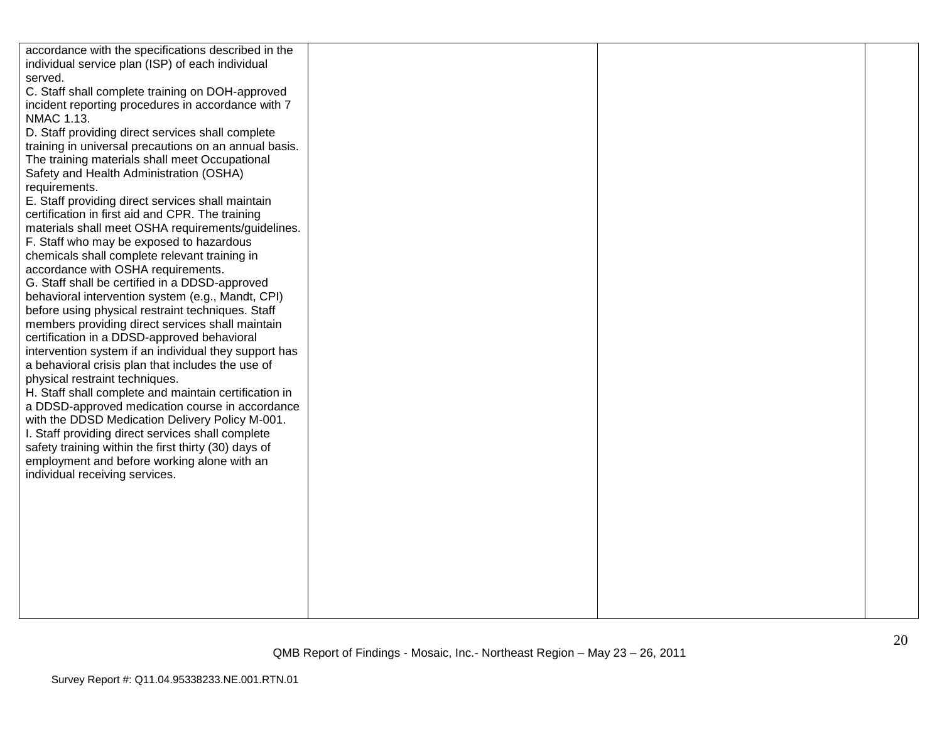| accordance with the specifications described in the   |  |  |
|-------------------------------------------------------|--|--|
| individual service plan (ISP) of each individual      |  |  |
| served.                                               |  |  |
| C. Staff shall complete training on DOH-approved      |  |  |
| incident reporting procedures in accordance with 7    |  |  |
| NMAC 1.13.                                            |  |  |
| D. Staff providing direct services shall complete     |  |  |
| training in universal precautions on an annual basis. |  |  |
| The training materials shall meet Occupational        |  |  |
| Safety and Health Administration (OSHA)               |  |  |
| requirements.                                         |  |  |
| E. Staff providing direct services shall maintain     |  |  |
| certification in first aid and CPR. The training      |  |  |
| materials shall meet OSHA requirements/guidelines.    |  |  |
| F. Staff who may be exposed to hazardous              |  |  |
| chemicals shall complete relevant training in         |  |  |
| accordance with OSHA requirements.                    |  |  |
| G. Staff shall be certified in a DDSD-approved        |  |  |
| behavioral intervention system (e.g., Mandt, CPI)     |  |  |
| before using physical restraint techniques. Staff     |  |  |
| members providing direct services shall maintain      |  |  |
| certification in a DDSD-approved behavioral           |  |  |
| intervention system if an individual they support has |  |  |
| a behavioral crisis plan that includes the use of     |  |  |
| physical restraint techniques.                        |  |  |
| H. Staff shall complete and maintain certification in |  |  |
| a DDSD-approved medication course in accordance       |  |  |
| with the DDSD Medication Delivery Policy M-001.       |  |  |
| I. Staff providing direct services shall complete     |  |  |
| safety training within the first thirty (30) days of  |  |  |
| employment and before working alone with an           |  |  |
| individual receiving services.                        |  |  |
|                                                       |  |  |
|                                                       |  |  |
|                                                       |  |  |
|                                                       |  |  |
|                                                       |  |  |
|                                                       |  |  |
|                                                       |  |  |
|                                                       |  |  |
|                                                       |  |  |
|                                                       |  |  |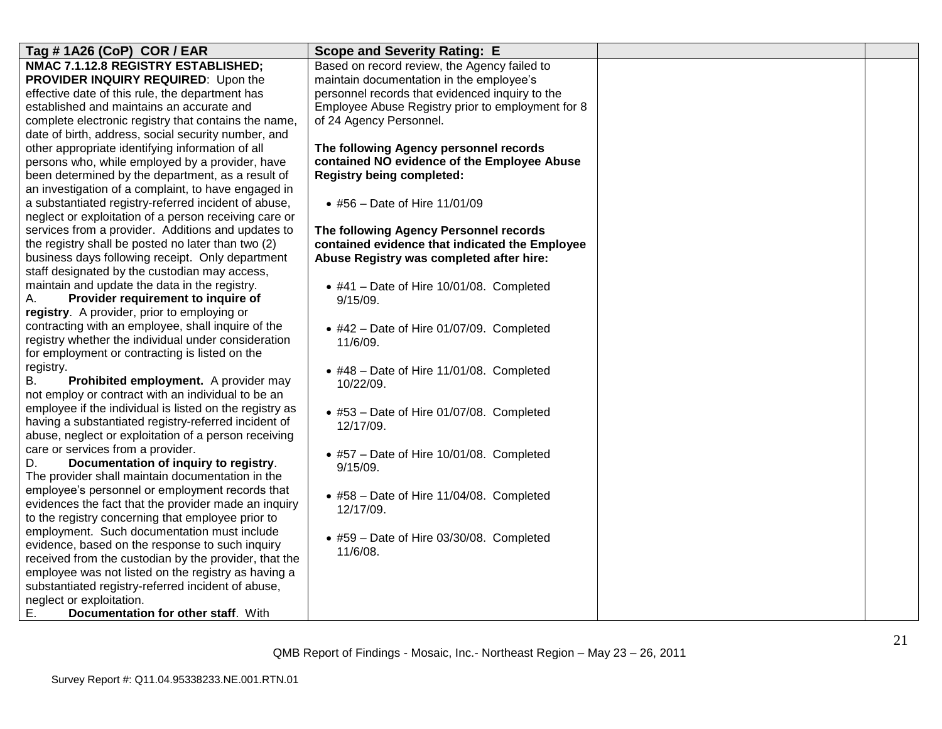| Tag # 1A26 (CoP) COR / EAR                                                     | <b>Scope and Severity Rating: E</b>               |  |
|--------------------------------------------------------------------------------|---------------------------------------------------|--|
| NMAC 7.1.12.8 REGISTRY ESTABLISHED;                                            | Based on record review, the Agency failed to      |  |
| PROVIDER INQUIRY REQUIRED: Upon the                                            | maintain documentation in the employee's          |  |
| effective date of this rule, the department has                                | personnel records that evidenced inquiry to the   |  |
| established and maintains an accurate and                                      | Employee Abuse Registry prior to employment for 8 |  |
| complete electronic registry that contains the name,                           | of 24 Agency Personnel.                           |  |
| date of birth, address, social security number, and                            |                                                   |  |
| other appropriate identifying information of all                               | The following Agency personnel records            |  |
| persons who, while employed by a provider, have                                | contained NO evidence of the Employee Abuse       |  |
| been determined by the department, as a result of                              | <b>Registry being completed:</b>                  |  |
| an investigation of a complaint, to have engaged in                            |                                                   |  |
| a substantiated registry-referred incident of abuse,                           | • #56 - Date of Hire 11/01/09                     |  |
| neglect or exploitation of a person receiving care or                          |                                                   |  |
| services from a provider. Additions and updates to                             | The following Agency Personnel records            |  |
| the registry shall be posted no later than two (2)                             | contained evidence that indicated the Employee    |  |
| business days following receipt. Only department                               | Abuse Registry was completed after hire:          |  |
| staff designated by the custodian may access,                                  |                                                   |  |
| maintain and update the data in the registry.                                  | $\bullet$ #41 - Date of Hire 10/01/08. Completed  |  |
| Provider requirement to inquire of<br>А.                                       | 9/15/09.                                          |  |
| registry. A provider, prior to employing or                                    |                                                   |  |
| contracting with an employee, shall inquire of the                             | $\bullet$ #42 - Date of Hire 01/07/09. Completed  |  |
| registry whether the individual under consideration                            | 11/6/09.                                          |  |
| for employment or contracting is listed on the                                 |                                                   |  |
| registry.                                                                      | $\bullet$ #48 - Date of Hire 11/01/08. Completed  |  |
| Prohibited employment. A provider may<br>В.                                    | 10/22/09.                                         |  |
| not employ or contract with an individual to be an                             |                                                   |  |
| employee if the individual is listed on the registry as                        | • #53 - Date of Hire 01/07/08. Completed          |  |
| having a substantiated registry-referred incident of                           | 12/17/09.                                         |  |
| abuse, neglect or exploitation of a person receiving                           |                                                   |  |
| care or services from a provider.                                              | $\bullet$ #57 – Date of Hire 10/01/08. Completed  |  |
| Documentation of inquiry to registry.<br>D.                                    | 9/15/09.                                          |  |
| The provider shall maintain documentation in the                               |                                                   |  |
| employee's personnel or employment records that                                | • #58 - Date of Hire 11/04/08. Completed          |  |
| evidences the fact that the provider made an inquiry                           | 12/17/09.                                         |  |
| to the registry concerning that employee prior to                              |                                                   |  |
| employment. Such documentation must include                                    | • #59 - Date of Hire 03/30/08. Completed          |  |
| evidence, based on the response to such inquiry                                | 11/6/08.                                          |  |
| received from the custodian by the provider, that the                          |                                                   |  |
| employee was not listed on the registry as having a                            |                                                   |  |
| substantiated registry-referred incident of abuse,<br>neglect or exploitation. |                                                   |  |
| Е.<br>Documentation for other staff. With                                      |                                                   |  |
|                                                                                |                                                   |  |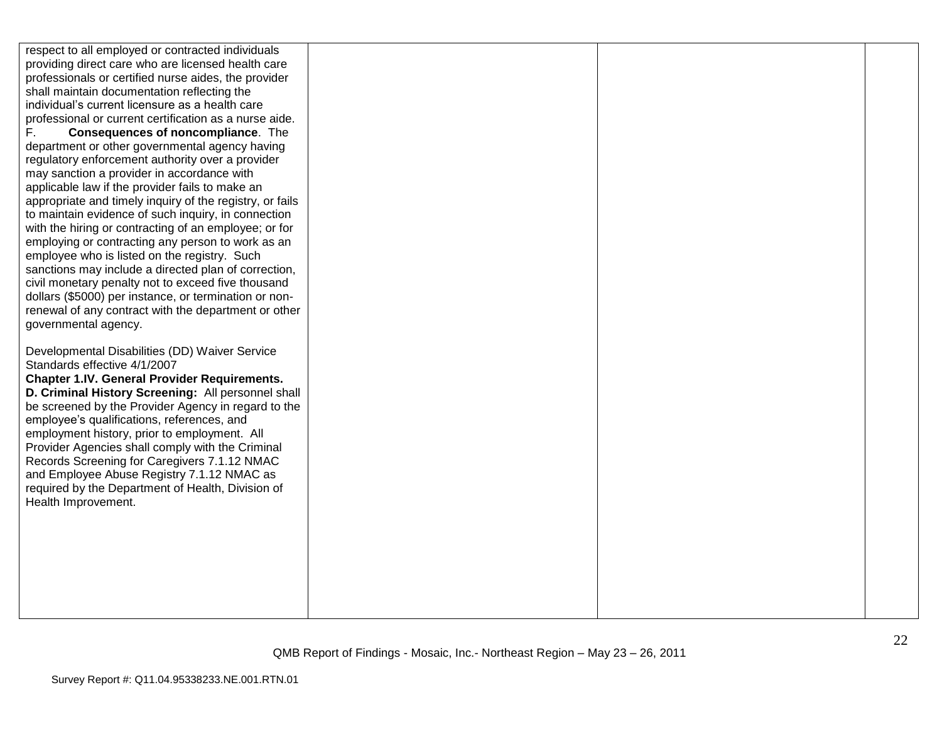respect to all employed or contracted individuals providing direct care who are licensed health care professionals or certified nurse aides, the provider shall maintain documentation reflecting the individual"s current licensure as a health care professional or current certification as a nurse aide. F. **Consequences of noncompliance**. The department or other governmental agency having regulatory enforcement authority over a provider may sanction a provider in accordance with applicable law if the provider fails to make an appropriate and timely inquiry of the registry, or fails to maintain evidence of such inquiry, in connection with the hiring or contracting of an employee; or for employing or contracting any person to work as an employee who is listed on the registry. Such sanctions may include a directed plan of correction, civil monetary penalty not to exceed five thousand dollars (\$5000) per instance, or termination or nonrenewal of any contract with the department or other governmental agency. Developmental Disabilities (DD) Waiver Service Standards effective 4/1/2007 **Chapter 1.IV. General Provider Requirements. D. Criminal History Screening:** All personnel shall be screened by the Provider Agency in regard to the employee"s qualifications, references, and employment history, prior to employment. All Provider Agencies shall comply with the Criminal Records Screening for Caregivers 7.1.12 NMAC and Employee Abuse Registry 7.1.12 NMAC as required by the Department of Health, Division of Health Improvement.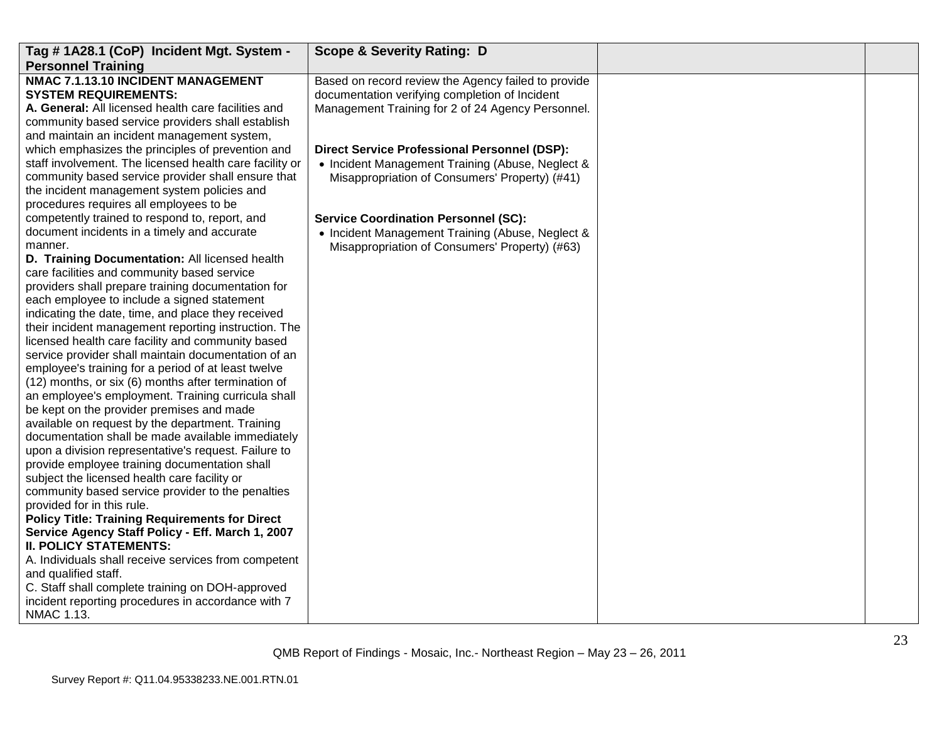| Tag #1A28.1 (CoP) Incident Mgt. System -<br><b>Personnel Training</b>                                                                                                                                                                                                                                                                                                                                                                                                                                                                                                                                                                                                                                                                                                                                                                                                                                                                                                                                                                                                                                                                                                                                                                                        | <b>Scope &amp; Severity Rating: D</b>                                                                                                                      |  |
|--------------------------------------------------------------------------------------------------------------------------------------------------------------------------------------------------------------------------------------------------------------------------------------------------------------------------------------------------------------------------------------------------------------------------------------------------------------------------------------------------------------------------------------------------------------------------------------------------------------------------------------------------------------------------------------------------------------------------------------------------------------------------------------------------------------------------------------------------------------------------------------------------------------------------------------------------------------------------------------------------------------------------------------------------------------------------------------------------------------------------------------------------------------------------------------------------------------------------------------------------------------|------------------------------------------------------------------------------------------------------------------------------------------------------------|--|
| NMAC 7.1.13.10 INCIDENT MANAGEMENT<br><b>SYSTEM REQUIREMENTS:</b><br>A. General: All licensed health care facilities and<br>community based service providers shall establish<br>and maintain an incident management system,                                                                                                                                                                                                                                                                                                                                                                                                                                                                                                                                                                                                                                                                                                                                                                                                                                                                                                                                                                                                                                 | Based on record review the Agency failed to provide<br>documentation verifying completion of Incident<br>Management Training for 2 of 24 Agency Personnel. |  |
| which emphasizes the principles of prevention and<br>staff involvement. The licensed health care facility or<br>community based service provider shall ensure that<br>the incident management system policies and<br>procedures requires all employees to be                                                                                                                                                                                                                                                                                                                                                                                                                                                                                                                                                                                                                                                                                                                                                                                                                                                                                                                                                                                                 | <b>Direct Service Professional Personnel (DSP):</b><br>• Incident Management Training (Abuse, Neglect &<br>Misappropriation of Consumers' Property) (#41)  |  |
| competently trained to respond to, report, and<br>document incidents in a timely and accurate<br>manner.<br>D. Training Documentation: All licensed health<br>care facilities and community based service<br>providers shall prepare training documentation for<br>each employee to include a signed statement<br>indicating the date, time, and place they received<br>their incident management reporting instruction. The<br>licensed health care facility and community based<br>service provider shall maintain documentation of an<br>employee's training for a period of at least twelve<br>(12) months, or six (6) months after termination of<br>an employee's employment. Training curricula shall<br>be kept on the provider premises and made<br>available on request by the department. Training<br>documentation shall be made available immediately<br>upon a division representative's request. Failure to<br>provide employee training documentation shall<br>subject the licensed health care facility or<br>community based service provider to the penalties<br>provided for in this rule.<br><b>Policy Title: Training Requirements for Direct</b><br>Service Agency Staff Policy - Eff. March 1, 2007<br><b>II. POLICY STATEMENTS:</b> | <b>Service Coordination Personnel (SC):</b><br>• Incident Management Training (Abuse, Neglect &<br>Misappropriation of Consumers' Property) (#63)          |  |
| A. Individuals shall receive services from competent<br>and qualified staff.<br>C. Staff shall complete training on DOH-approved<br>incident reporting procedures in accordance with 7<br>NMAC 1.13.                                                                                                                                                                                                                                                                                                                                                                                                                                                                                                                                                                                                                                                                                                                                                                                                                                                                                                                                                                                                                                                         |                                                                                                                                                            |  |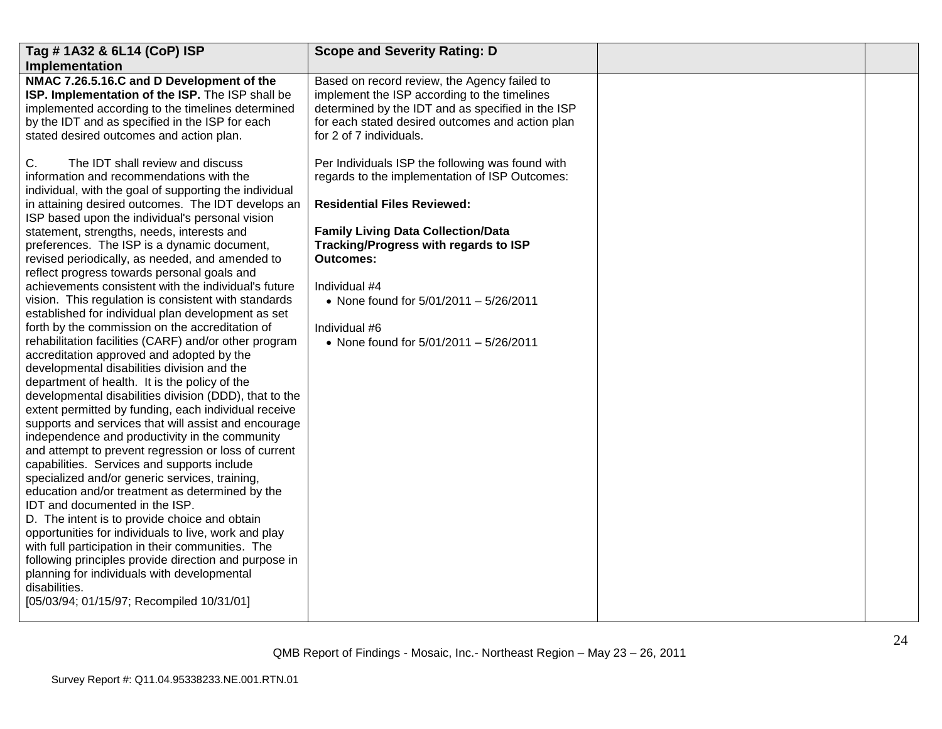| Tag # 1A32 & 6L14 (CoP) ISP<br>Implementation                                                                                                                                                                                                                                                                                                                                                                                                                                                                                                                                                                                                                                                                                                                                                                                                                                                                                                                                                                                                                                                                         | <b>Scope and Severity Rating: D</b>                                                                                                                                                                                              |  |
|-----------------------------------------------------------------------------------------------------------------------------------------------------------------------------------------------------------------------------------------------------------------------------------------------------------------------------------------------------------------------------------------------------------------------------------------------------------------------------------------------------------------------------------------------------------------------------------------------------------------------------------------------------------------------------------------------------------------------------------------------------------------------------------------------------------------------------------------------------------------------------------------------------------------------------------------------------------------------------------------------------------------------------------------------------------------------------------------------------------------------|----------------------------------------------------------------------------------------------------------------------------------------------------------------------------------------------------------------------------------|--|
| NMAC 7.26.5.16.C and D Development of the<br>ISP. Implementation of the ISP. The ISP shall be<br>implemented according to the timelines determined<br>by the IDT and as specified in the ISP for each<br>stated desired outcomes and action plan.                                                                                                                                                                                                                                                                                                                                                                                                                                                                                                                                                                                                                                                                                                                                                                                                                                                                     | Based on record review, the Agency failed to<br>implement the ISP according to the timelines<br>determined by the IDT and as specified in the ISP<br>for each stated desired outcomes and action plan<br>for 2 of 7 individuals. |  |
| The IDT shall review and discuss<br>C.<br>information and recommendations with the<br>individual, with the goal of supporting the individual<br>in attaining desired outcomes. The IDT develops an                                                                                                                                                                                                                                                                                                                                                                                                                                                                                                                                                                                                                                                                                                                                                                                                                                                                                                                    | Per Individuals ISP the following was found with<br>regards to the implementation of ISP Outcomes:<br><b>Residential Files Reviewed:</b>                                                                                         |  |
| ISP based upon the individual's personal vision<br>statement, strengths, needs, interests and<br>preferences. The ISP is a dynamic document,<br>revised periodically, as needed, and amended to<br>reflect progress towards personal goals and<br>achievements consistent with the individual's future<br>vision. This regulation is consistent with standards<br>established for individual plan development as set<br>forth by the commission on the accreditation of<br>rehabilitation facilities (CARF) and/or other program<br>accreditation approved and adopted by the<br>developmental disabilities division and the<br>department of health. It is the policy of the<br>developmental disabilities division (DDD), that to the<br>extent permitted by funding, each individual receive<br>supports and services that will assist and encourage<br>independence and productivity in the community<br>and attempt to prevent regression or loss of current<br>capabilities. Services and supports include<br>specialized and/or generic services, training,<br>education and/or treatment as determined by the | <b>Family Living Data Collection/Data</b><br>Tracking/Progress with regards to ISP<br><b>Outcomes:</b><br>Individual #4<br>• None found for 5/01/2011 - 5/26/2011<br>Individual #6<br>• None found for 5/01/2011 - 5/26/2011     |  |
| IDT and documented in the ISP.<br>D. The intent is to provide choice and obtain<br>opportunities for individuals to live, work and play<br>with full participation in their communities. The<br>following principles provide direction and purpose in<br>planning for individuals with developmental<br>disabilities.<br>[05/03/94; 01/15/97; Recompiled 10/31/01]                                                                                                                                                                                                                                                                                                                                                                                                                                                                                                                                                                                                                                                                                                                                                    |                                                                                                                                                                                                                                  |  |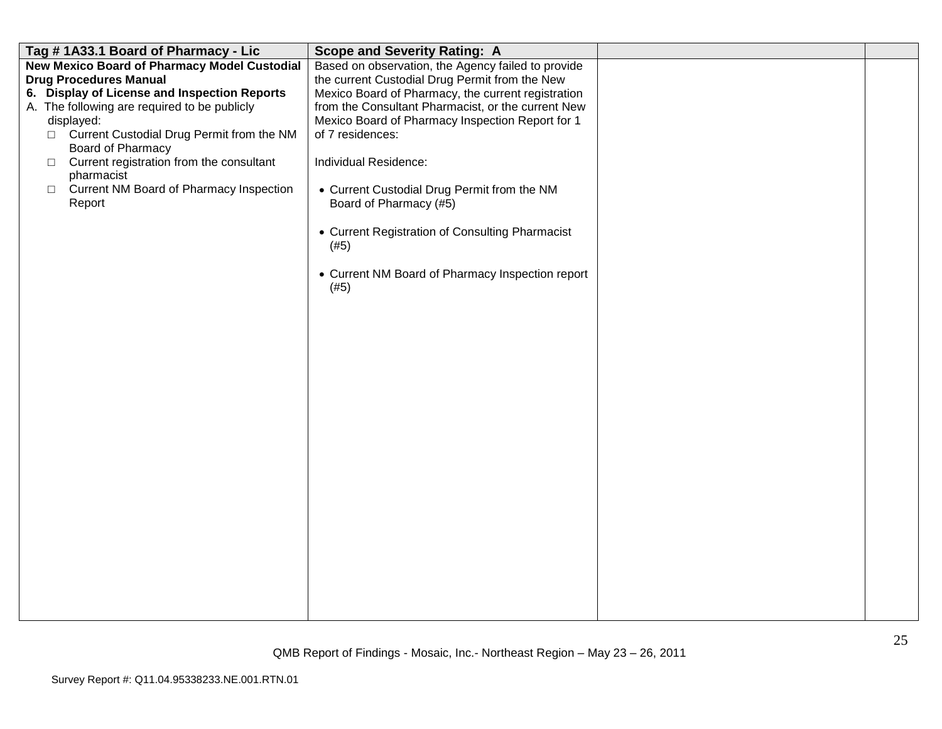| Tag #1A33.1 Board of Pharmacy - Lic                                                                                                                                                                                                                                                                                                                                                                              | <b>Scope and Severity Rating: A</b>                                                                                                                                                                                                                                                                                                                                                                                                                                                                               |  |
|------------------------------------------------------------------------------------------------------------------------------------------------------------------------------------------------------------------------------------------------------------------------------------------------------------------------------------------------------------------------------------------------------------------|-------------------------------------------------------------------------------------------------------------------------------------------------------------------------------------------------------------------------------------------------------------------------------------------------------------------------------------------------------------------------------------------------------------------------------------------------------------------------------------------------------------------|--|
| <b>New Mexico Board of Pharmacy Model Custodial</b><br><b>Drug Procedures Manual</b><br>6. Display of License and Inspection Reports<br>A. The following are required to be publicly<br>displayed:<br>□ Current Custodial Drug Permit from the NM<br>Board of Pharmacy<br>Current registration from the consultant<br>$\Box$<br>pharmacist<br><b>Current NM Board of Pharmacy Inspection</b><br>$\Box$<br>Report | Based on observation, the Agency failed to provide<br>the current Custodial Drug Permit from the New<br>Mexico Board of Pharmacy, the current registration<br>from the Consultant Pharmacist, or the current New<br>Mexico Board of Pharmacy Inspection Report for 1<br>of 7 residences:<br>Individual Residence:<br>• Current Custodial Drug Permit from the NM<br>Board of Pharmacy (#5)<br>• Current Registration of Consulting Pharmacist<br>(#5)<br>• Current NM Board of Pharmacy Inspection report<br>(#5) |  |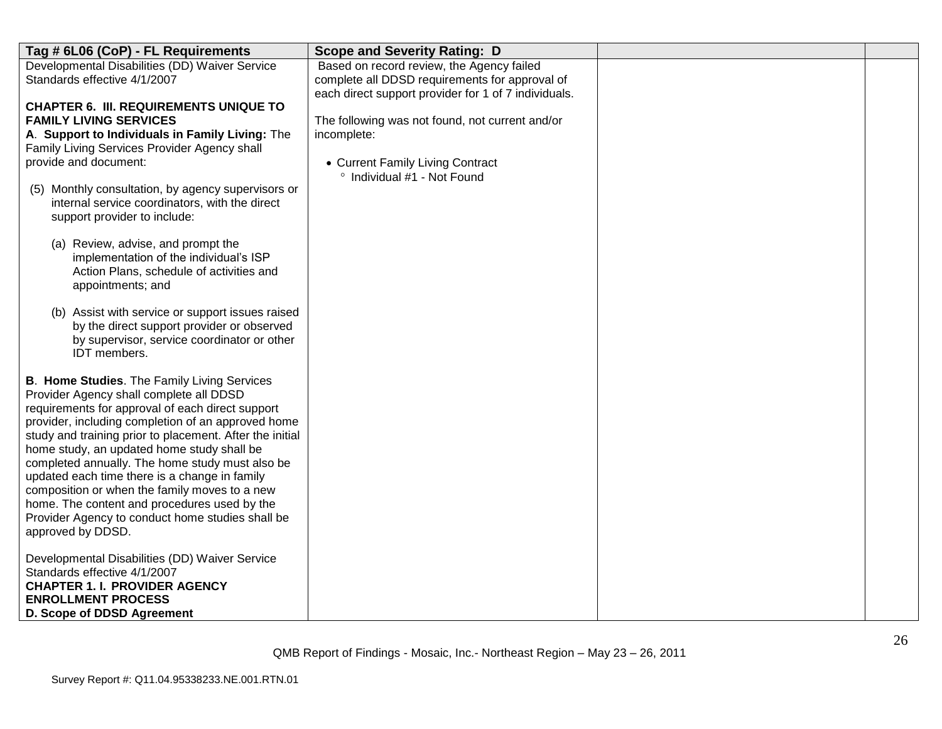| Tag # 6L06 (CoP) - FL Requirements                                                                                                                                                                                                                                                                                                                                                                                                                                                                                                                                                              | <b>Scope and Severity Rating: D</b>                                                                                                                 |  |
|-------------------------------------------------------------------------------------------------------------------------------------------------------------------------------------------------------------------------------------------------------------------------------------------------------------------------------------------------------------------------------------------------------------------------------------------------------------------------------------------------------------------------------------------------------------------------------------------------|-----------------------------------------------------------------------------------------------------------------------------------------------------|--|
| Developmental Disabilities (DD) Waiver Service<br>Standards effective 4/1/2007                                                                                                                                                                                                                                                                                                                                                                                                                                                                                                                  | Based on record review, the Agency failed<br>complete all DDSD requirements for approval of<br>each direct support provider for 1 of 7 individuals. |  |
| <b>CHAPTER 6. III. REQUIREMENTS UNIQUE TO</b><br><b>FAMILY LIVING SERVICES</b><br>A. Support to Individuals in Family Living: The<br>Family Living Services Provider Agency shall<br>provide and document:<br>Monthly consultation, by agency supervisors or<br>(5)<br>internal service coordinators, with the direct<br>support provider to include:<br>(a) Review, advise, and prompt the<br>implementation of the individual's ISP<br>Action Plans, schedule of activities and<br>appointments; and                                                                                          | The following was not found, not current and/or<br>incomplete:<br>• Current Family Living Contract<br>° Individual #1 - Not Found                   |  |
| (b) Assist with service or support issues raised<br>by the direct support provider or observed<br>by supervisor, service coordinator or other<br>IDT members.                                                                                                                                                                                                                                                                                                                                                                                                                                   |                                                                                                                                                     |  |
| <b>B. Home Studies.</b> The Family Living Services<br>Provider Agency shall complete all DDSD<br>requirements for approval of each direct support<br>provider, including completion of an approved home<br>study and training prior to placement. After the initial<br>home study, an updated home study shall be<br>completed annually. The home study must also be<br>updated each time there is a change in family<br>composition or when the family moves to a new<br>home. The content and procedures used by the<br>Provider Agency to conduct home studies shall be<br>approved by DDSD. |                                                                                                                                                     |  |
| Developmental Disabilities (DD) Waiver Service<br>Standards effective 4/1/2007<br><b>CHAPTER 1. I. PROVIDER AGENCY</b><br><b>ENROLLMENT PROCESS</b><br>D. Scope of DDSD Agreement                                                                                                                                                                                                                                                                                                                                                                                                               |                                                                                                                                                     |  |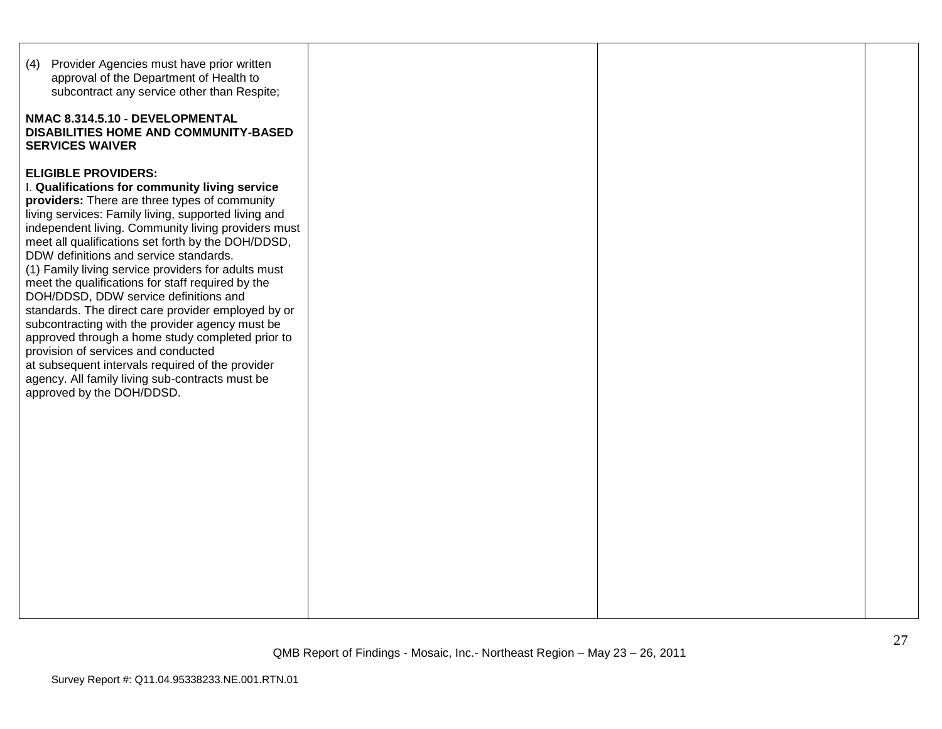| Provider Agencies must have prior written<br>(4)<br>approval of the Department of Health to<br>subcontract any service other than Respite;<br>NMAC 8.314.5.10 - DEVELOPMENTAL<br><b>DISABILITIES HOME AND COMMUNITY-BASED</b><br><b>SERVICES WAIVER</b>                                                                                                                                                                                                                                                                                                                                                                                                                                                                                                                                                                                   |  |  |
|-------------------------------------------------------------------------------------------------------------------------------------------------------------------------------------------------------------------------------------------------------------------------------------------------------------------------------------------------------------------------------------------------------------------------------------------------------------------------------------------------------------------------------------------------------------------------------------------------------------------------------------------------------------------------------------------------------------------------------------------------------------------------------------------------------------------------------------------|--|--|
| <b>ELIGIBLE PROVIDERS:</b><br>I. Qualifications for community living service<br>providers: There are three types of community<br>living services: Family living, supported living and<br>independent living. Community living providers must<br>meet all qualifications set forth by the DOH/DDSD,<br>DDW definitions and service standards.<br>(1) Family living service providers for adults must<br>meet the qualifications for staff required by the<br>DOH/DDSD, DDW service definitions and<br>standards. The direct care provider employed by or<br>subcontracting with the provider agency must be<br>approved through a home study completed prior to<br>provision of services and conducted<br>at subsequent intervals required of the provider<br>agency. All family living sub-contracts must be<br>approved by the DOH/DDSD. |  |  |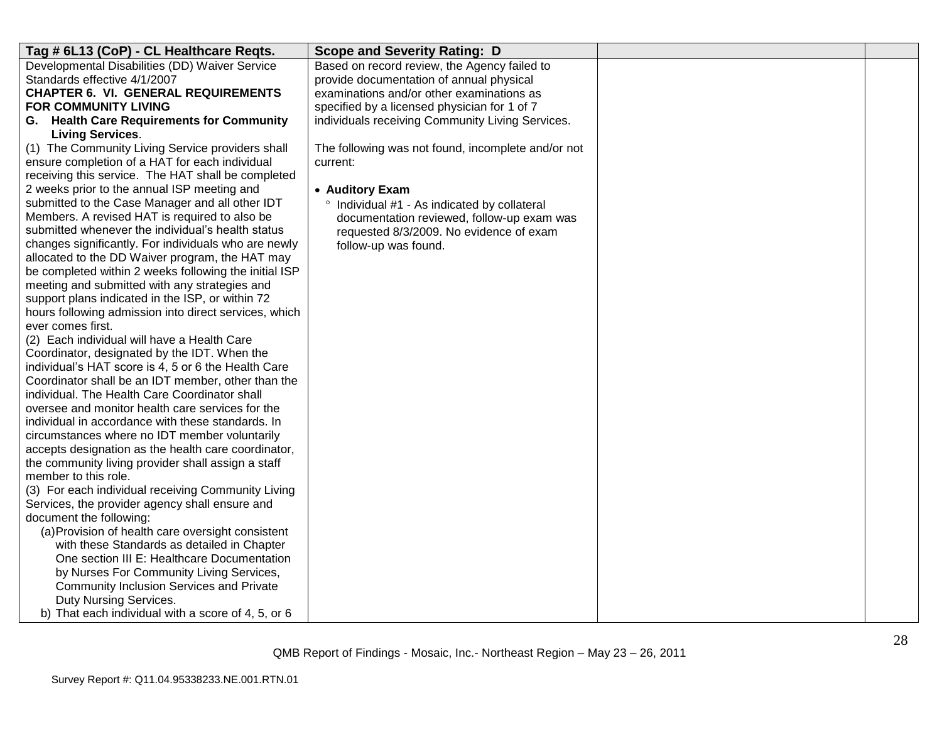| Tag # 6L13 (CoP) - CL Healthcare Reqts.                                    | <b>Scope and Severity Rating: D</b>                |  |
|----------------------------------------------------------------------------|----------------------------------------------------|--|
| Developmental Disabilities (DD) Waiver Service                             | Based on record review, the Agency failed to       |  |
| Standards effective 4/1/2007                                               | provide documentation of annual physical           |  |
| <b>CHAPTER 6. VI. GENERAL REQUIREMENTS</b>                                 | examinations and/or other examinations as          |  |
| <b>FOR COMMUNITY LIVING</b>                                                | specified by a licensed physician for 1 of 7       |  |
| G. Health Care Requirements for Community                                  | individuals receiving Community Living Services.   |  |
| <b>Living Services.</b>                                                    |                                                    |  |
| (1) The Community Living Service providers shall                           | The following was not found, incomplete and/or not |  |
| ensure completion of a HAT for each individual                             | current:                                           |  |
| receiving this service. The HAT shall be completed                         |                                                    |  |
| 2 weeks prior to the annual ISP meeting and                                | • Auditory Exam                                    |  |
| submitted to the Case Manager and all other IDT                            | ° Individual #1 - As indicated by collateral       |  |
| Members. A revised HAT is required to also be                              | documentation reviewed, follow-up exam was         |  |
| submitted whenever the individual's health status                          | requested 8/3/2009. No evidence of exam            |  |
| changes significantly. For individuals who are newly                       | follow-up was found.                               |  |
| allocated to the DD Waiver program, the HAT may                            |                                                    |  |
| be completed within 2 weeks following the initial ISP                      |                                                    |  |
| meeting and submitted with any strategies and                              |                                                    |  |
| support plans indicated in the ISP, or within 72                           |                                                    |  |
| hours following admission into direct services, which<br>ever comes first. |                                                    |  |
| (2) Each individual will have a Health Care                                |                                                    |  |
| Coordinator, designated by the IDT. When the                               |                                                    |  |
| individual's HAT score is 4, 5 or 6 the Health Care                        |                                                    |  |
| Coordinator shall be an IDT member, other than the                         |                                                    |  |
| individual. The Health Care Coordinator shall                              |                                                    |  |
| oversee and monitor health care services for the                           |                                                    |  |
| individual in accordance with these standards. In                          |                                                    |  |
| circumstances where no IDT member voluntarily                              |                                                    |  |
| accepts designation as the health care coordinator,                        |                                                    |  |
| the community living provider shall assign a staff                         |                                                    |  |
| member to this role.                                                       |                                                    |  |
| (3) For each individual receiving Community Living                         |                                                    |  |
| Services, the provider agency shall ensure and                             |                                                    |  |
| document the following:                                                    |                                                    |  |
| (a) Provision of health care oversight consistent                          |                                                    |  |
| with these Standards as detailed in Chapter                                |                                                    |  |
| One section III E: Healthcare Documentation                                |                                                    |  |
| by Nurses For Community Living Services,                                   |                                                    |  |
| Community Inclusion Services and Private                                   |                                                    |  |
| Duty Nursing Services.                                                     |                                                    |  |
| b) That each individual with a score of 4, 5, or 6                         |                                                    |  |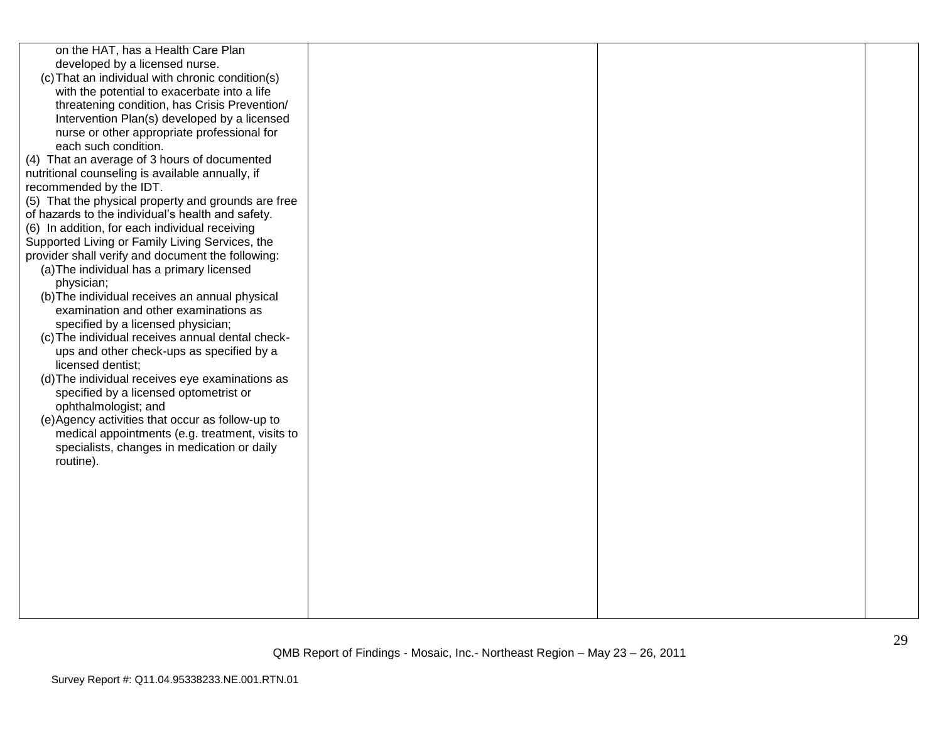| on the HAT, has a Health Care Plan<br>developed by a licensed nurse.<br>(c) That an individual with chronic condition(s)<br>with the potential to exacerbate into a life<br>threatening condition, has Crisis Prevention/<br>Intervention Plan(s) developed by a licensed<br>nurse or other appropriate professional for<br>each such condition.<br>(4) That an average of 3 hours of documented<br>nutritional counseling is available annually, if<br>recommended by the IDT.<br>(5) That the physical property and grounds are free<br>of hazards to the individual's health and safety.<br>(6) In addition, for each individual receiving<br>Supported Living or Family Living Services, the<br>provider shall verify and document the following:<br>(a) The individual has a primary licensed<br>physician;<br>(b) The individual receives an annual physical<br>examination and other examinations as<br>specified by a licensed physician;<br>(c) The individual receives annual dental check-<br>ups and other check-ups as specified by a<br>licensed dentist;<br>(d) The individual receives eye examinations as<br>specified by a licensed optometrist or<br>ophthalmologist; and<br>(e) Agency activities that occur as follow-up to<br>medical appointments (e.g. treatment, visits to<br>specialists, changes in medication or daily<br>routine). |  |
|-----------------------------------------------------------------------------------------------------------------------------------------------------------------------------------------------------------------------------------------------------------------------------------------------------------------------------------------------------------------------------------------------------------------------------------------------------------------------------------------------------------------------------------------------------------------------------------------------------------------------------------------------------------------------------------------------------------------------------------------------------------------------------------------------------------------------------------------------------------------------------------------------------------------------------------------------------------------------------------------------------------------------------------------------------------------------------------------------------------------------------------------------------------------------------------------------------------------------------------------------------------------------------------------------------------------------------------------------------------------|--|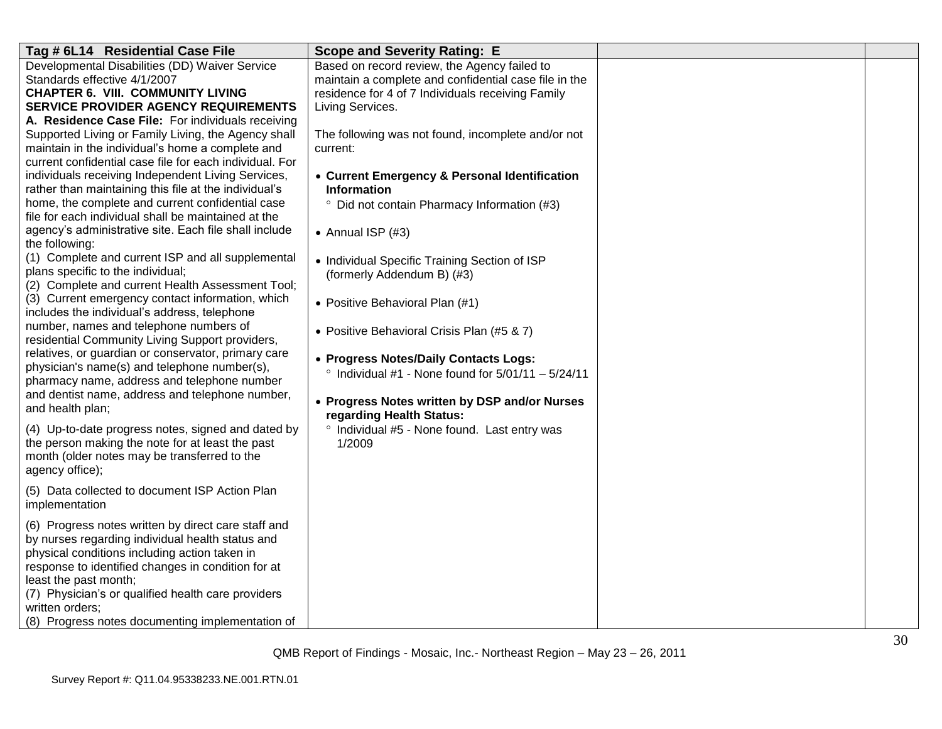| Tag # 6L14 Residential Case File                                                                            | <b>Scope and Severity Rating: E</b>                                                                   |  |
|-------------------------------------------------------------------------------------------------------------|-------------------------------------------------------------------------------------------------------|--|
| Developmental Disabilities (DD) Waiver Service<br>Standards effective 4/1/2007                              | Based on record review, the Agency failed to<br>maintain a complete and confidential case file in the |  |
| <b>CHAPTER 6. VIII. COMMUNITY LIVING</b><br>SERVICE PROVIDER AGENCY REQUIREMENTS                            | residence for 4 of 7 Individuals receiving Family<br>Living Services.                                 |  |
| A. Residence Case File: For individuals receiving                                                           |                                                                                                       |  |
| Supported Living or Family Living, the Agency shall                                                         | The following was not found, incomplete and/or not                                                    |  |
| maintain in the individual's home a complete and<br>current confidential case file for each individual. For | current:                                                                                              |  |
| individuals receiving Independent Living Services,                                                          | • Current Emergency & Personal Identification                                                         |  |
| rather than maintaining this file at the individual's                                                       | <b>Information</b>                                                                                    |  |
| home, the complete and current confidential case<br>file for each individual shall be maintained at the     | <sup>o</sup> Did not contain Pharmacy Information (#3)                                                |  |
| agency's administrative site. Each file shall include<br>the following:                                     | • Annual ISP $(#3)$                                                                                   |  |
| (1) Complete and current ISP and all supplemental                                                           | • Individual Specific Training Section of ISP                                                         |  |
| plans specific to the individual;<br>(2) Complete and current Health Assessment Tool;                       | (formerly Addendum B) (#3)                                                                            |  |
| (3) Current emergency contact information, which                                                            | • Positive Behavioral Plan (#1)                                                                       |  |
| includes the individual's address, telephone                                                                |                                                                                                       |  |
| number, names and telephone numbers of<br>residential Community Living Support providers,                   | • Positive Behavioral Crisis Plan (#5 & 7)                                                            |  |
| relatives, or guardian or conservator, primary care                                                         | • Progress Notes/Daily Contacts Logs:                                                                 |  |
| physician's name(s) and telephone number(s),<br>pharmacy name, address and telephone number                 | $\degree$ Individual #1 - None found for 5/01/11 - 5/24/11                                            |  |
| and dentist name, address and telephone number,                                                             |                                                                                                       |  |
| and health plan;                                                                                            | • Progress Notes written by DSP and/or Nurses<br>regarding Health Status:                             |  |
| (4) Up-to-date progress notes, signed and dated by                                                          | ° Individual #5 - None found. Last entry was                                                          |  |
| the person making the note for at least the past                                                            | 1/2009                                                                                                |  |
| month (older notes may be transferred to the<br>agency office);                                             |                                                                                                       |  |
| (5) Data collected to document ISP Action Plan                                                              |                                                                                                       |  |
| implementation                                                                                              |                                                                                                       |  |
| (6) Progress notes written by direct care staff and                                                         |                                                                                                       |  |
| by nurses regarding individual health status and<br>physical conditions including action taken in           |                                                                                                       |  |
| response to identified changes in condition for at                                                          |                                                                                                       |  |
| least the past month;                                                                                       |                                                                                                       |  |
| (7) Physician's or qualified health care providers                                                          |                                                                                                       |  |
| written orders;                                                                                             |                                                                                                       |  |
| (8) Progress notes documenting implementation of                                                            |                                                                                                       |  |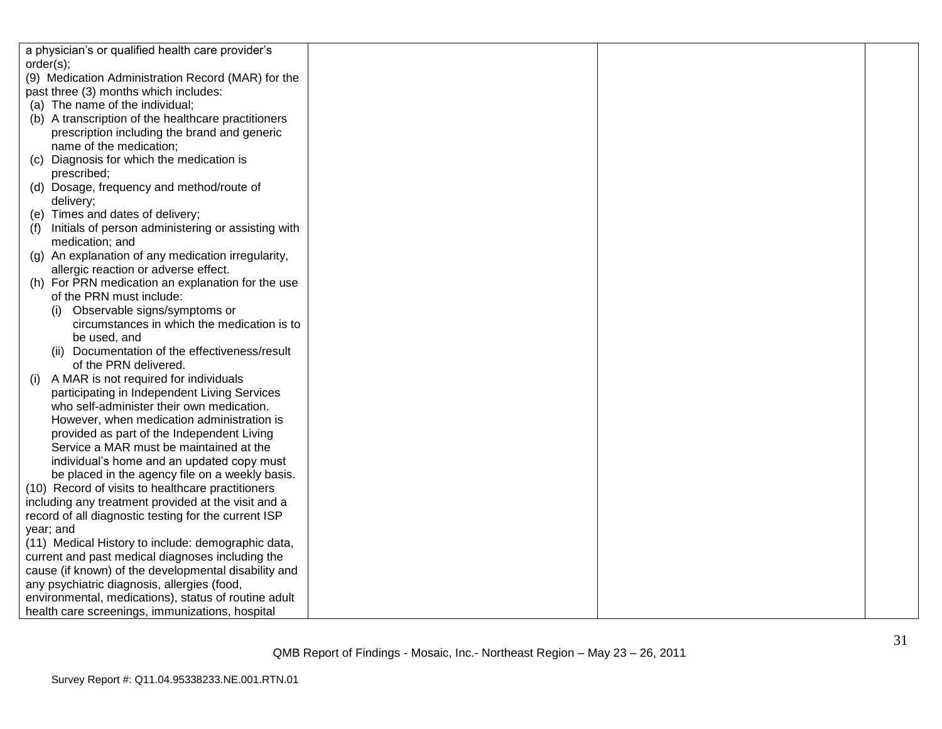|           | a physician's or qualified health care provider's    |  |  |
|-----------|------------------------------------------------------|--|--|
| order(s); |                                                      |  |  |
|           | (9) Medication Administration Record (MAR) for the   |  |  |
|           | past three (3) months which includes:                |  |  |
|           | (a) The name of the individual;                      |  |  |
|           | (b) A transcription of the healthcare practitioners  |  |  |
|           | prescription including the brand and generic         |  |  |
|           | name of the medication;                              |  |  |
| (C)       | Diagnosis for which the medication is                |  |  |
|           | prescribed;                                          |  |  |
|           | (d) Dosage, frequency and method/route of            |  |  |
|           | delivery;                                            |  |  |
|           | (e) Times and dates of delivery;                     |  |  |
| (f)       | Initials of person administering or assisting with   |  |  |
|           | medication; and                                      |  |  |
|           | (g) An explanation of any medication irregularity,   |  |  |
|           | allergic reaction or adverse effect.                 |  |  |
|           | (h) For PRN medication an explanation for the use    |  |  |
|           | of the PRN must include:                             |  |  |
|           | Observable signs/symptoms or                         |  |  |
|           | circumstances in which the medication is to          |  |  |
|           | be used, and                                         |  |  |
|           | (ii) Documentation of the effectiveness/result       |  |  |
|           | of the PRN delivered.                                |  |  |
| (i)       | A MAR is not required for individuals                |  |  |
|           | participating in Independent Living Services         |  |  |
|           | who self-administer their own medication.            |  |  |
|           | However, when medication administration is           |  |  |
|           | provided as part of the Independent Living           |  |  |
|           | Service a MAR must be maintained at the              |  |  |
|           | individual's home and an updated copy must           |  |  |
|           | be placed in the agency file on a weekly basis.      |  |  |
|           | (10) Record of visits to healthcare practitioners    |  |  |
|           | including any treatment provided at the visit and a  |  |  |
|           | record of all diagnostic testing for the current ISP |  |  |
|           | year; and                                            |  |  |
|           | (11) Medical History to include: demographic data,   |  |  |
|           | current and past medical diagnoses including the     |  |  |
|           | cause (if known) of the developmental disability and |  |  |
|           | any psychiatric diagnosis, allergies (food,          |  |  |
|           | environmental, medications), status of routine adult |  |  |
|           | health care screenings, immunizations, hospital      |  |  |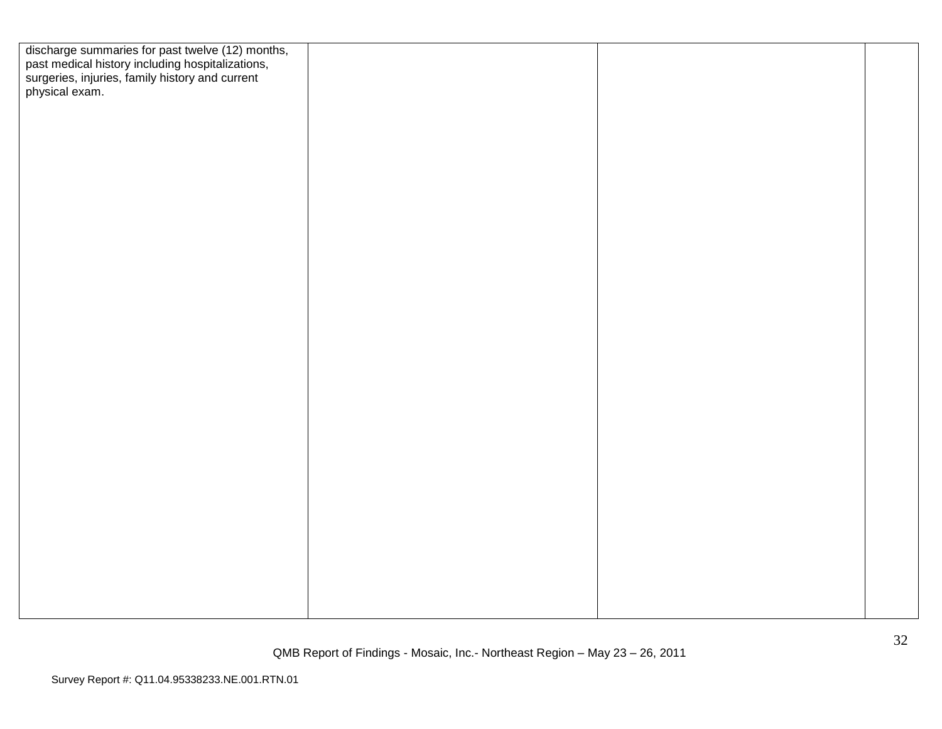| discharge summaries for past twelve (12) months,<br>past medical history including hospitalizations,<br>surgeries, injuries, family history and current<br>physical exam. |  |  |
|---------------------------------------------------------------------------------------------------------------------------------------------------------------------------|--|--|
|                                                                                                                                                                           |  |  |
|                                                                                                                                                                           |  |  |
|                                                                                                                                                                           |  |  |
|                                                                                                                                                                           |  |  |
|                                                                                                                                                                           |  |  |
|                                                                                                                                                                           |  |  |
|                                                                                                                                                                           |  |  |
|                                                                                                                                                                           |  |  |
|                                                                                                                                                                           |  |  |
|                                                                                                                                                                           |  |  |
|                                                                                                                                                                           |  |  |
|                                                                                                                                                                           |  |  |
|                                                                                                                                                                           |  |  |
|                                                                                                                                                                           |  |  |
|                                                                                                                                                                           |  |  |
|                                                                                                                                                                           |  |  |
|                                                                                                                                                                           |  |  |
|                                                                                                                                                                           |  |  |
|                                                                                                                                                                           |  |  |
|                                                                                                                                                                           |  |  |
|                                                                                                                                                                           |  |  |
|                                                                                                                                                                           |  |  |
|                                                                                                                                                                           |  |  |
|                                                                                                                                                                           |  |  |
|                                                                                                                                                                           |  |  |
|                                                                                                                                                                           |  |  |
|                                                                                                                                                                           |  |  |
|                                                                                                                                                                           |  |  |
|                                                                                                                                                                           |  |  |
|                                                                                                                                                                           |  |  |
|                                                                                                                                                                           |  |  |
|                                                                                                                                                                           |  |  |
|                                                                                                                                                                           |  |  |
|                                                                                                                                                                           |  |  |
|                                                                                                                                                                           |  |  |
|                                                                                                                                                                           |  |  |
|                                                                                                                                                                           |  |  |
|                                                                                                                                                                           |  |  |
|                                                                                                                                                                           |  |  |
|                                                                                                                                                                           |  |  |
|                                                                                                                                                                           |  |  |
|                                                                                                                                                                           |  |  |
|                                                                                                                                                                           |  |  |
|                                                                                                                                                                           |  |  |
|                                                                                                                                                                           |  |  |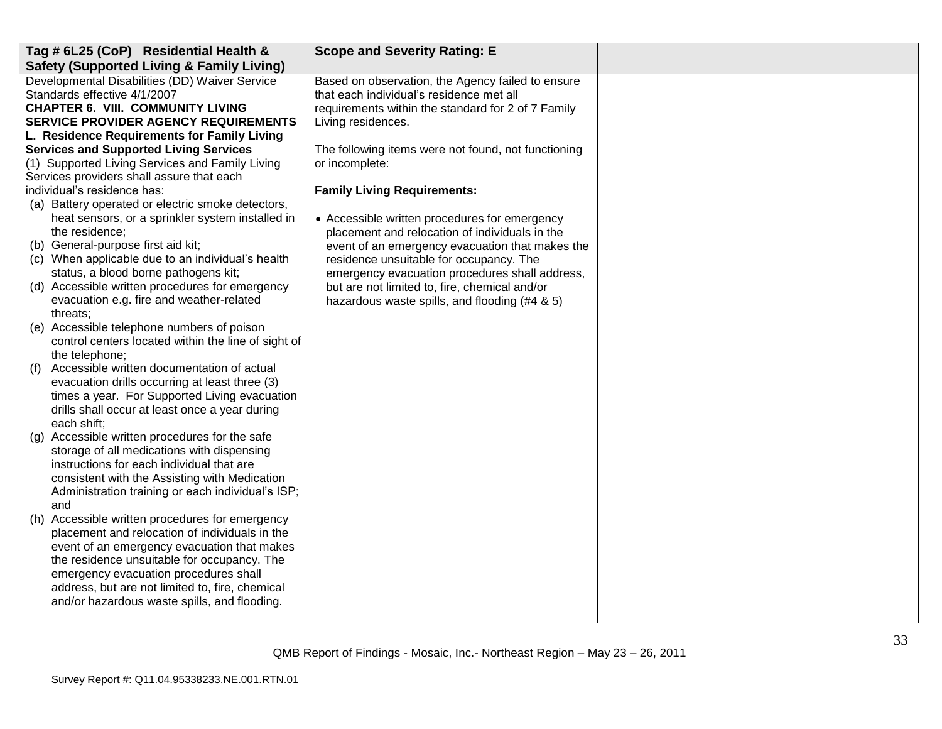| Tag # 6L25 (CoP) Residential Health &                | <b>Scope and Severity Rating: E</b>                 |  |
|------------------------------------------------------|-----------------------------------------------------|--|
| <b>Safety (Supported Living &amp; Family Living)</b> |                                                     |  |
| Developmental Disabilities (DD) Waiver Service       | Based on observation, the Agency failed to ensure   |  |
| Standards effective 4/1/2007                         | that each individual's residence met all            |  |
| <b>CHAPTER 6. VIII. COMMUNITY LIVING</b>             | requirements within the standard for 2 of 7 Family  |  |
| <b>SERVICE PROVIDER AGENCY REQUIREMENTS</b>          | Living residences.                                  |  |
| L. Residence Requirements for Family Living          |                                                     |  |
| <b>Services and Supported Living Services</b>        | The following items were not found, not functioning |  |
| (1) Supported Living Services and Family Living      | or incomplete:                                      |  |
| Services providers shall assure that each            |                                                     |  |
| individual's residence has:                          | <b>Family Living Requirements:</b>                  |  |
| (a) Battery operated or electric smoke detectors,    |                                                     |  |
| heat sensors, or a sprinkler system installed in     | • Accessible written procedures for emergency       |  |
| the residence;                                       | placement and relocation of individuals in the      |  |
| (b) General-purpose first aid kit;                   | event of an emergency evacuation that makes the     |  |
| (c) When applicable due to an individual's health    | residence unsuitable for occupancy. The             |  |
| status, a blood borne pathogens kit;                 | emergency evacuation procedures shall address,      |  |
| (d) Accessible written procedures for emergency      | but are not limited to, fire, chemical and/or       |  |
| evacuation e.g. fire and weather-related             | hazardous waste spills, and flooding (#4 & 5)       |  |
| threats;                                             |                                                     |  |
| (e) Accessible telephone numbers of poison           |                                                     |  |
| control centers located within the line of sight of  |                                                     |  |
| the telephone;                                       |                                                     |  |
| Accessible written documentation of actual<br>(f)    |                                                     |  |
| evacuation drills occurring at least three (3)       |                                                     |  |
| times a year. For Supported Living evacuation        |                                                     |  |
| drills shall occur at least once a year during       |                                                     |  |
| each shift;                                          |                                                     |  |
| Accessible written procedures for the safe<br>(g)    |                                                     |  |
| storage of all medications with dispensing           |                                                     |  |
| instructions for each individual that are            |                                                     |  |
| consistent with the Assisting with Medication        |                                                     |  |
| Administration training or each individual's ISP;    |                                                     |  |
| and                                                  |                                                     |  |
| (h) Accessible written procedures for emergency      |                                                     |  |
| placement and relocation of individuals in the       |                                                     |  |
| event of an emergency evacuation that makes          |                                                     |  |
| the residence unsuitable for occupancy. The          |                                                     |  |
| emergency evacuation procedures shall                |                                                     |  |
| address, but are not limited to, fire, chemical      |                                                     |  |
| and/or hazardous waste spills, and flooding.         |                                                     |  |
|                                                      |                                                     |  |